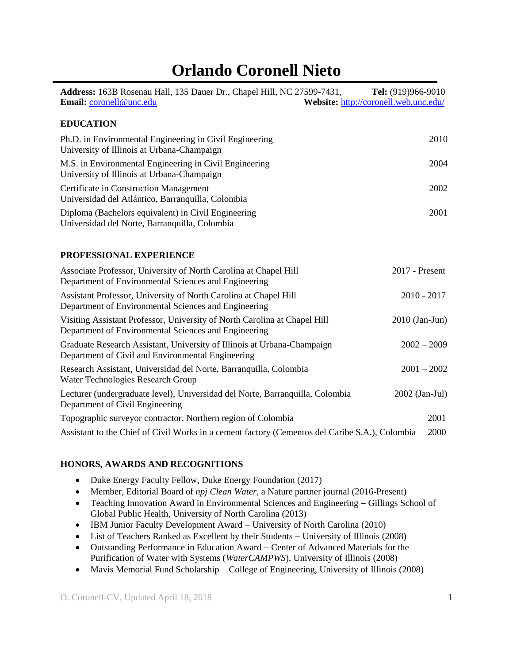# **Orlando Coronell Nieto**

| Address: 163B Rosenau Hall, 135 Dauer Dr., Chapel Hill, NC 27599-7431,<br>Email: coronell@unc.edu                                 | Tel: (919)966-9010<br>Website: http://coronell.web.unc.edu/ |
|-----------------------------------------------------------------------------------------------------------------------------------|-------------------------------------------------------------|
| <b>EDUCATION</b>                                                                                                                  |                                                             |
| Ph.D. in Environmental Engineering in Civil Engineering<br>University of Illinois at Urbana-Champaign                             | 2010                                                        |
| M.S. in Environmental Engineering in Civil Engineering<br>University of Illinois at Urbana-Champaign                              | 2004                                                        |
| <b>Certificate in Construction Management</b><br>Universidad del Atlántico, Barranquilla, Colombia                                | 2002                                                        |
| Diploma (Bachelors equivalent) in Civil Engineering<br>Universidad del Norte, Barranquilla, Colombia                              | 2001                                                        |
| PROFESSIONAL EXPERIENCE                                                                                                           |                                                             |
| Associate Professor, University of North Carolina at Chapel Hill<br>Department of Environmental Sciences and Engineering          | 2017 - Present                                              |
| Assistant Professor, University of North Carolina at Chapel Hill<br>Department of Environmental Sciences and Engineering          | $2010 - 2017$                                               |
| Visiting Assistant Professor, University of North Carolina at Chapel Hill<br>Department of Environmental Sciences and Engineering | $2010$ (Jan-Jun)                                            |
| Graduate Research Assistant, University of Illinois at Urbana-Champaign<br>Department of Civil and Environmental Engineering      | $2002 - 2009$                                               |
| Research Assistant, Universidad del Norte, Barranquilla, Colombia<br>Water Technologies Research Group                            | $2001 - 2002$                                               |
| Lecturer (undergraduate level), Universidad del Norte, Barranquilla, Colombia<br>Department of Civil Engineering                  | 2002 (Jan-Jul)                                              |
| Topographic surveyor contractor, Northern region of Colombia                                                                      | 2001                                                        |
| Assistant to the Chief of Civil Works in a cement factory (Cementos del Caribe S.A.), Colombia                                    | 2000                                                        |
|                                                                                                                                   |                                                             |

# **HONORS, AWARDS AND RECOGNITIONS**

- Duke Energy Faculty Fellow, Duke Energy Foundation (2017)
- Member, Editorial Board of *npj Clean Water*, a Nature partner journal (2016-Present)
- Teaching Innovation Award in Environmental Sciences and Engineering  $-$  Gillings School of Global Public Health, University of North Carolina (2013)
- IBM Junior Faculty Development Award University of North Carolina (2010)
- List of Teachers Ranked as Excellent by their Students University of Illinois (2008)
- Outstanding Performance in Education Award Center of Advanced Materials for the Purification of Water with Systems (*WaterCAMPWS*), University of Illinois (2008)
- $\bullet$  Mavis Memorial Fund Scholarship College of Engineering, University of Illinois (2008)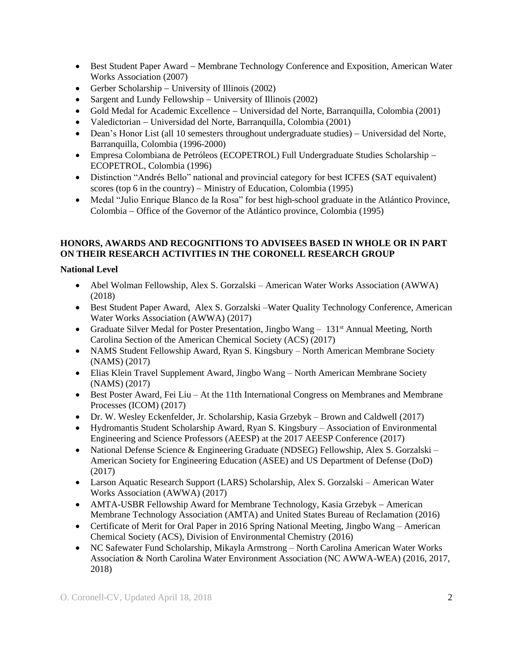- Best Student Paper Award Membrane Technology Conference and Exposition, American Water Works Association (2007)
- Gerber Scholarship University of Illinois  $(2002)$
- Sargent and Lundy Fellowship  $-$  University of Illinois (2002)
- Gold Medal for Academic Excellence Universidad del Norte, Barranquilla, Colombia (2001)
- Valedictorian Universidad del Norte, Barranquilla, Colombia (2001)
- Dean's Honor List (all 10 semesters throughout undergraduate studies) Universidad del Norte, Barranquilla, Colombia (1996-2000)
- Empresa Colombiana de Petróleos (ECOPETROL) Full Undergraduate Studies Scholarship ECOPETROL, Colombia (1996)
- Distinction "Andrés Bello" national and provincial category for best ICFES (SAT equivalent) scores (top 6 in the country)  $-$  Ministry of Education, Colombia (1995)
- Medal "Julio Enrique Blanco de la Rosa" for best high-school graduate in the Atlántico Province, Colombia Office of the Governor of the Atlántico province, Colombia (1995)

# **HONORS, AWARDS AND RECOGNITIONS TO ADVISEES BASED IN WHOLE OR IN PART ON THEIR RESEARCH ACTIVITIES IN THE CORONELL RESEARCH GROUP**

# **National Level**

- Abel Wolman Fellowship, Alex S. Gorzalski American Water Works Association (AWWA) (2018)
- Best Student Paper Award, Alex S. Gorzalski –Water Quality Technology Conference, American Water Works Association (AWWA) (2017)
- Graduate Silver Medal for Poster Presentation, Jingbo Wang  $-131<sup>st</sup>$  Annual Meeting, North Carolina Section of the American Chemical Society (ACS) (2017)
- NAMS Student Fellowship Award, Ryan S. Kingsbury North American Membrane Society (NAMS) (2017)
- Elias Klein Travel Supplement Award, Jingbo Wang North American Membrane Society (NAMS) (2017)
- Best Poster Award, Fei Liu At the 11th International Congress on Membranes and Membrane Processes (ICOM) (2017)
- Dr. W. Wesley Eckenfelder, Jr. Scholarship, Kasia Grzebyk Brown and Caldwell (2017)
- Hydromantis Student Scholarship Award, Ryan S. Kingsbury Association of Environmental Engineering and Science Professors (AEESP) at the 2017 AEESP Conference (2017)
- National Defense Science & Engineering Graduate (NDSEG) Fellowship, Alex S. Gorzalski American Society for Engineering Education (ASEE) and US Department of Defense (DoD) (2017)
- Larson Aquatic Research Support (LARS) Scholarship, Alex S. Gorzalski American Water Works Association (AWWA) (2017)
- AMTA-USBR Fellowship Award for Membrane Technology, Kasia Grzebyk American Membrane Technology Association (AMTA) and United States Bureau of Reclamation (2016)
- Certificate of Merit for Oral Paper in 2016 Spring National Meeting, Jingbo Wang American Chemical Society (ACS), Division of Environmental Chemistry (2016)
- NC Safewater Fund Scholarship, Mikayla Armstrong North Carolina American Water Works Association & North Carolina Water Environment Association (NC AWWA-WEA) (2016, 2017, 2018)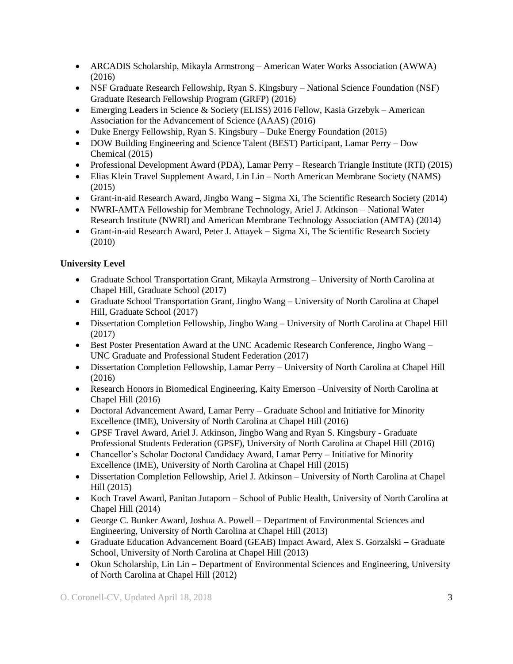- ARCADIS Scholarship, Mikayla Armstrong American Water Works Association (AWWA) (2016)
- NSF Graduate Research Fellowship, Ryan S. Kingsbury National Science Foundation (NSF) Graduate Research Fellowship Program (GRFP) (2016)
- Emerging Leaders in Science & Society (ELISS) 2016 Fellow, Kasia Grzebyk American Association for the Advancement of Science (AAAS) (2016)
- Duke Energy Fellowship, Ryan S. Kingsbury Duke Energy Foundation (2015)
- DOW Building Engineering and Science Talent (BEST) Participant, Lamar Perry Dow Chemical (2015)
- Professional Development Award (PDA), Lamar Perry Research Triangle Institute (RTI) (2015)
- Elias Klein Travel Supplement Award, Lin Lin North American Membrane Society (NAMS) (2015)
- Grant-in-aid Research Award, Jingbo Wang Sigma Xi, The Scientific Research Society (2014)
- NWRI-AMTA Fellowship for Membrane Technology, Ariel J. Atkinson National Water Research Institute (NWRI) and American Membrane Technology Association (AMTA) (2014)
- Grant-in-aid Research Award, Peter J. Attayek Sigma Xi, The Scientific Research Society (2010)

# **University Level**

- Graduate School Transportation Grant, Mikayla Armstrong University of North Carolina at Chapel Hill, Graduate School (2017)
- Graduate School Transportation Grant, Jingbo Wang University of North Carolina at Chapel Hill, Graduate School (2017)
- Dissertation Completion Fellowship, Jingbo Wang University of North Carolina at Chapel Hill (2017)
- Best Poster Presentation Award at the UNC Academic Research Conference, Jingbo Wang UNC Graduate and Professional Student Federation (2017)
- Dissertation Completion Fellowship, Lamar Perry University of North Carolina at Chapel Hill (2016)
- Research Honors in Biomedical Engineering, Kaity Emerson –University of North Carolina at Chapel Hill (2016)
- Doctoral Advancement Award, Lamar Perry Graduate School and Initiative for Minority Excellence (IME), University of North Carolina at Chapel Hill (2016)
- GPSF Travel Award, Ariel J. Atkinson, Jingbo Wang and Ryan S. Kingsbury Graduate Professional Students Federation (GPSF), University of North Carolina at Chapel Hill (2016)
- Chancellor's Scholar Doctoral Candidacy Award, Lamar Perry Initiative for Minority Excellence (IME), University of North Carolina at Chapel Hill (2015)
- Dissertation Completion Fellowship, Ariel J. Atkinson University of North Carolina at Chapel Hill (2015)
- Koch Travel Award, Panitan Jutaporn School of Public Health, University of North Carolina at Chapel Hill (2014)
- George C. Bunker Award, Joshua A. Powell Department of Environmental Sciences and Engineering, University of North Carolina at Chapel Hill (2013)
- Graduate Education Advancement Board (GEAB) Impact Award, Alex S. Gorzalski Graduate School, University of North Carolina at Chapel Hill (2013)
- Okun Scholarship, Lin Lin Department of Environmental Sciences and Engineering, University of North Carolina at Chapel Hill (2012)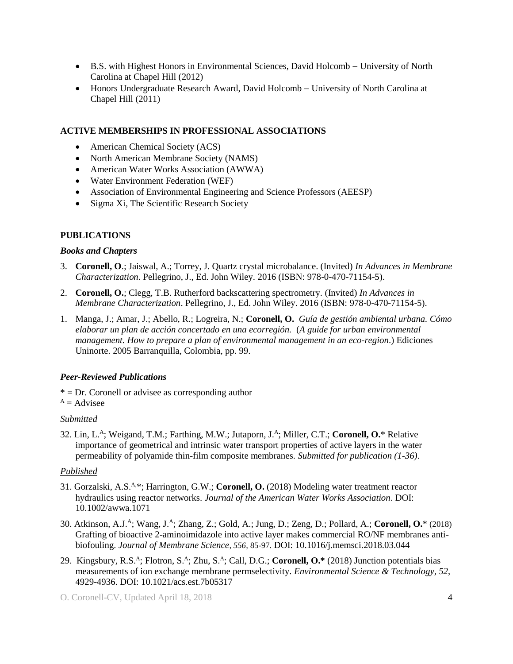- B.S. with Highest Honors in Environmental Sciences, David Holcomb University of North Carolina at Chapel Hill (2012)
- Honors Undergraduate Research Award, David Holcomb University of North Carolina at Chapel Hill (2011)

## **ACTIVE MEMBERSHIPS IN PROFESSIONAL ASSOCIATIONS**

- American Chemical Society (ACS)
- North American Membrane Society (NAMS)
- American Water Works Association (AWWA)
- Water Environment Federation (WEF)
- Association of Environmental Engineering and Science Professors (AEESP)
- Sigma Xi, The Scientific Research Society

# **PUBLICATIONS**

#### *Books and Chapters*

- 3. **Coronell, O**.; Jaiswal, A.; Torrey, J. Quartz crystal microbalance. (Invited) *In Advances in Membrane Characterization*. Pellegrino, J., Ed. John Wiley. 2016 (ISBN: 978-0-470-71154-5).
- 2. **Coronell, O.**; Clegg, T.B. Rutherford backscattering spectrometry. (Invited) *In Advances in Membrane Characterization*. Pellegrino, J., Ed. John Wiley. 2016 (ISBN: 978-0-470-71154-5).
- 1. Manga, J.; Amar, J.; Abello, R.; Logreira, N.; **Coronell, O.** *Guía de gestión ambiental urbana. Cómo elaborar un plan de acción concertado en una ecorregión.* (*A guide for urban environmental management. How to prepare a plan of environmental management in an eco-region*.) Ediciones Uninorte. 2005 Barranquilla, Colombia, pp. 99.

#### *Peer-Reviewed Publications*

 $* = Dr$ . Coronell or advisee as corresponding author

 $A =$ Advisee

#### *Submitted*

32. Lin, L.<sup>A</sup> ; Weigand, T.M.; Farthing, M.W.; Jutaporn, J.<sup>A</sup> ; Miller, C.T.; **Coronell, O.**\* Relative importance of geometrical and intrinsic water transport properties of active layers in the water permeability of polyamide thin-film composite membranes. *Submitted for publication (1-36)*.

#### *Published*

- 31. Gorzalski, A.S.A,\*; Harrington, G.W.; **Coronell, O.** (2018) Modeling water treatment reactor hydraulics using reactor networks. *Journal of the American Water Works Association*. DOI: 10.1002/awwa.1071
- 30. Atkinson, A.J.<sup>A</sup> ; Wang, J.<sup>A</sup> ; Zhang, Z.; Gold, A.; Jung, D.; Zeng, D.; Pollard, A.; **Coronell, O.**\* (2018) Grafting of bioactive 2-aminoimidazole into active layer makes commercial RO/NF membranes antibiofouling. *Journal of Membrane Science, 556,* 85-97*.* DOI: 10.1016/j.memsci.2018.03.044
- 29. Kingsbury, R.S.<sup>A</sup>; Flotron, S.<sup>A</sup>; Zhu, S.<sup>A</sup>; Call, D.G.; **Coronell, O.**\* (2018) Junction potentials bias measurements of ion exchange membrane permselectivity. *Environmental Science & Technology*, *52*, 4929-4936. DOI: 10.1021/acs.est.7b05317
- O. Coronell-CV, Updated April 18, 2018 4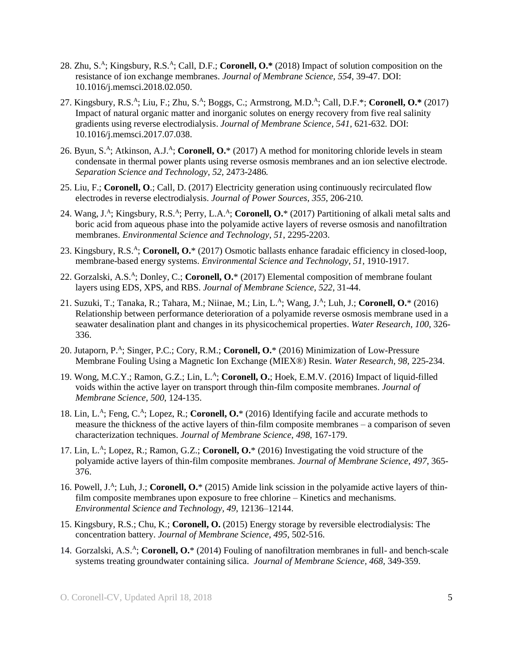- 28. Zhu, S.<sup>A</sup>; Kingsbury, R.S.<sup>A</sup>; Call, D.F.; **Coronell, O.\*** (2018) Impact of solution composition on the resistance of ion exchange membranes. *Journal of Membrane Science, 554*, 39-47. DOI: 10.1016/j.memsci.2018.02.050.
- 27. Kingsbury, R.S.<sup>A</sup>; Liu, F.; Zhu, S.<sup>A</sup>; Boggs, C.; Armstrong, M.D.<sup>A</sup>; Call, D.F.<sup>\*</sup>; Coronell, O.<sup>\*</sup> (2017) Impact of natural organic matter and inorganic solutes on energy recovery from five real salinity gradients using reverse electrodialysis. *Journal of Membrane Science, 541,* 621-632*.* DOI: 10.1016/j.memsci.2017.07.038.
- 26. Byun, S.<sup>A</sup>; Atkinson, A.J.<sup>A</sup>; Coronell, O.\* (2017) A method for monitoring chloride levels in steam condensate in thermal power plants using reverse osmosis membranes and an ion selective electrode. *Separation Science and Technology, 52,* 2473-2486*.*
- 25. Liu, F.; **Coronell, O**.; Call, D. (2017) Electricity generation using continuously recirculated flow electrodes in reverse electrodialysis. *Journal of Power Sources*, *355*, 206-210*.*
- 24. Wang, J.<sup>A</sup>; Kingsbury, R.S.<sup>A</sup>; Perry, L.A.<sup>A</sup>; Coronell, O.\* (2017) Partitioning of alkali metal salts and boric acid from aqueous phase into the polyamide active layers of reverse osmosis and nanofiltration membranes. *Environmental Science and Technology*, *51*, 2295-2203.
- 23. Kingsbury, R.S.<sup>A</sup>; Coronell, O.\* (2017) Osmotic ballasts enhance faradaic efficiency in closed-loop, membrane-based energy systems. *Environmental Science and Technology*, *51*, 1910-1917.
- 22. Gorzalski, A.S.<sup>A</sup>; Donley, C.; **Coronell, O.**\* (2017) Elemental composition of membrane foulant layers using EDS, XPS, and RBS. *Journal of Membrane Science*, *522*, 31-44.
- 21. Suzuki, T.; Tanaka, R.; Tahara, M.; Niinae, M.; Lin, L.<sup>A</sup>; Wang, J.<sup>A</sup>; Luh, J.; **Coronell, O.**\* (2016) Relationship between performance deterioration of a polyamide reverse osmosis membrane used in a seawater desalination plant and changes in its physicochemical properties. *Water Research*, *100*, 326- 336.
- 20. Jutaporn, P.<sup>A</sup> ; Singer, P.C.; Cory, R.M.; **Coronell, O.**\* (2016) Minimization of Low-Pressure Membrane Fouling Using a Magnetic Ion Exchange (MIEX®) Resin. *Water Research*, *98*, 225-234.
- 19. Wong, M.C.Y.; Ramon, G.Z.; Lin, L.<sup>A</sup>; Coronell, O.; Hoek, E.M.V. (2016) Impact of liquid-filled voids within the active layer on transport through thin-film composite membranes. *Journal of Membrane Science*, *500*, 124-135.
- 18. Lin, L.<sup>A</sup>; Feng, C.<sup>A</sup>; Lopez, R.; Coronell, O.<sup>\*</sup> (2016) Identifying facile and accurate methods to measure the thickness of the active layers of thin-film composite membranes – a comparison of seven characterization techniques. *Journal of Membrane Science*, *498*, 167-179.
- 17. Lin, L.<sup>A</sup> ; Lopez, R.; Ramon, G.Z.; **Coronell, O.**\* (2016) Investigating the void structure of the polyamide active layers of thin-film composite membranes. *Journal of Membrane Science*, *497*, 365- 376.
- 16. Powell, J.<sup>A</sup>; Luh, J.; **Coronell, O.**\* (2015) Amide link scission in the polyamide active layers of thinfilm composite membranes upon exposure to free chlorine – Kinetics and mechanisms. *Environmental Science and Technology*, *49*, 12136–12144.
- 15. Kingsbury, R.S.; Chu, K.; **Coronell, O.** (2015) Energy storage by reversible electrodialysis: The concentration battery. *Journal of Membrane Science*, *495*, 502-516.
- 14. Gorzalski, A.S.<sup>A</sup>; Coronell, O.\* (2014) Fouling of nanofiltration membranes in full- and bench-scale systems treating groundwater containing silica. *Journal of Membrane Science, 468,* 349-359.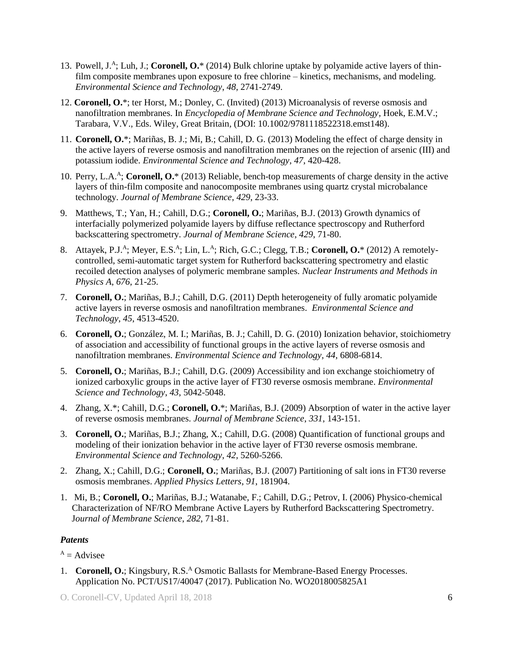- 13. Powell, J.<sup>A</sup>; Luh, J.; **Coronell, O.**\* (2014) Bulk chlorine uptake by polyamide active layers of thinfilm composite membranes upon exposure to free chlorine – kinetics, mechanisms, and modeling. *Environmental Science and Technology*, *48*, 2741-2749.
- 12. **Coronell, O.**\*; ter Horst, M.; Donley, C. (Invited) (2013) Microanalysis of reverse osmosis and nanofiltration membranes. In *Encyclopedia of Membrane Science and Technology*, Hoek, E.M.V.; Tarabara, V.V., Eds. Wiley, Great Britain, (DOI: 10.1002/9781118522318.emst148).
- 11. **Coronell, O.**\*; Mariñas, B. J.; Mi, B.; Cahill, D. G. (2013) Modeling the effect of charge density in the active layers of reverse osmosis and nanofiltration membranes on the rejection of arsenic (III) and potassium iodide. *Environmental Science and Technology*, *47*, 420-428.
- 10. Perry, L.A.<sup>A</sup> ; **Coronell, O.**\* (2013) Reliable, bench-top measurements of charge density in the active layers of thin-film composite and nanocomposite membranes using quartz crystal microbalance technology. *Journal of Membrane Science*, *429*, 23-33.
- 9. Matthews, T.; Yan, H.; Cahill, D.G.; **Coronell, O.**; Mariñas, B.J. (2013) Growth dynamics of interfacially polymerized polyamide layers by diffuse reflectance spectroscopy and Rutherford backscattering spectrometry. *Journal of Membrane Science*, *429*, 71-80.
- 8. Attayek, P.J.<sup>A</sup>; Meyer, E.S.<sup>A</sup>; Lin, L.<sup>A</sup>; Rich, G.C.; Clegg, T.B.; **Coronell, O.**\* (2012) A remotelycontrolled, semi-automatic target system for Rutherford backscattering spectrometry and elastic recoiled detection analyses of polymeric membrane samples. *Nuclear Instruments and Methods in Physics A*, *676*, 21-25.
- 7. **Coronell, O.**; Mariñas, B.J.; Cahill, D.G. (2011) Depth heterogeneity of fully aromatic polyamide active layers in reverse osmosis and nanofiltration membranes. *Environmental Science and Technology*, *45*, 4513-4520.
- 6. **Coronell, O.**; González, M. I.; Mariñas, B. J.; Cahill, D. G. (2010) Ionization behavior, stoichiometry of association and accessibility of functional groups in the active layers of reverse osmosis and nanofiltration membranes. *Environmental Science and Technology*, *44*, 6808-6814.
- 5. **Coronell, O.**; Mariñas, B.J.; Cahill, D.G. (2009) Accessibility and ion exchange stoichiometry of ionized carboxylic groups in the active layer of FT30 reverse osmosis membrane. *Environmental Science and Technology*, *43*, 5042-5048.
- 4. Zhang, X.\*; Cahill, D.G.; **Coronell, O.**\*; Mariñas, B.J. (2009) Absorption of water in the active layer of reverse osmosis membranes. *Journal of Membrane Science*, *331*, 143-151.
- 3. **Coronell, O.**; Mariñas, B.J.; Zhang, X.; Cahill, D.G. (2008) Quantification of functional groups and modeling of their ionization behavior in the active layer of FT30 reverse osmosis membrane. *Environmental Science and Technology*, *42*, 5260-5266.
- 2. Zhang, X.; Cahill, D.G.; **Coronell, O.**; Mariñas, B.J. (2007) Partitioning of salt ions in FT30 reverse osmosis membranes. *Applied Physics Letters*, *91*, 181904.
- 1. Mi, B.; **Coronell, O.**; Mariñas, B.J.; Watanabe, F.; Cahill, D.G.; Petrov, I. (2006) Physico-chemical Characterization of NF/RO Membrane Active Layers by Rutherford Backscattering Spectrometry. J*ournal of Membrane Science*, *282*, 71-81.

# *Patents*

 $A =$ Advisee

1. **Coronell, O.**; Kingsbury, R.S.<sup>A</sup> Osmotic Ballasts for Membrane-Based Energy Processes. Application No. PCT/US17/40047 (2017). Publication No. WO2018005825A1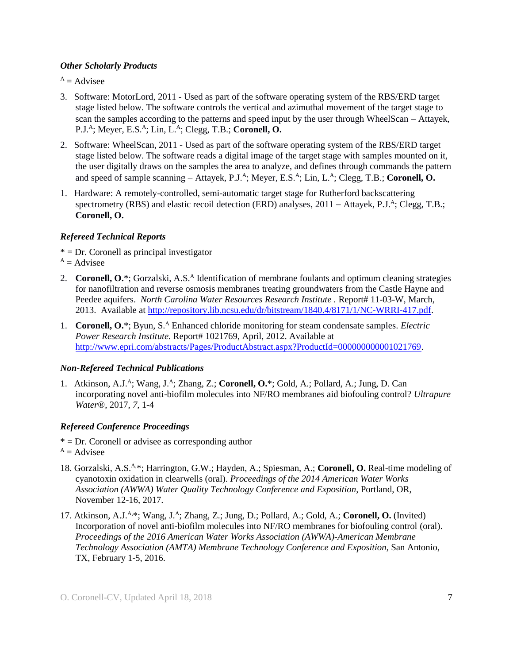#### *Other Scholarly Products*

 $A =$ Advisee

- 3. Software: MotorLord, 2011 Used as part of the software operating system of the RBS/ERD target stage listed below. The software controls the vertical and azimuthal movement of the target stage to scan the samples according to the patterns and speed input by the user through WheelScan – Attayek, P.J.<sup>A</sup>; Meyer, E.S.<sup>A</sup>; Lin, L.<sup>A</sup>; Clegg, T.B.; Coronell, O.
- 2. Software: WheelScan, 2011 Used as part of the software operating system of the RBS/ERD target stage listed below. The software reads a digital image of the target stage with samples mounted on it, the user digitally draws on the samples the area to analyze, and defines through commands the pattern and speed of sample scanning – Attayek, P.J.<sup>A</sup>; Meyer, E.S.<sup>A</sup>; Lin, L.<sup>A</sup>; Clegg, T.B.; **Coronell, O.**
- 1. Hardware: A remotely-controlled, semi-automatic target stage for Rutherford backscattering spectrometry (RBS) and elastic recoil detection (ERD) analyses, 2011 – Attayek, P.J.<sup>A</sup>; Clegg, T.B.; **Coronell, O.**

# *Refereed Technical Reports*

- $* = Dr.$  Coronell as principal investigator
- $A =$ Advisee
- 2. Coronell, O.\*; Gorzalski, A.S.<sup>A</sup> Identification of membrane foulants and optimum cleaning strategies for nanofiltration and reverse osmosis membranes treating groundwaters from the Castle Hayne and Peedee aquifers. *North Carolina Water Resources Research Institute* . Report# 11-03-W, March, 2013. Available at [http://repository.lib.ncsu.edu/dr/bitstream/1840.4/8171/1/NC-WRRI-417.pdf.](http://repository.lib.ncsu.edu/dr/bitstream/1840.4/8171/1/NC-WRRI-417.pdf)
- 1. **Coronell, O.**\*; Byun, S.<sup>A</sup> Enhanced chloride monitoring for steam condensate samples. *Electric* Power Research Institute. Report# 1021769, April, 2012. Available at [http://www.epri.com/abstracts/Pages/ProductAbstract.aspx?ProductId=000000000001021769.](http://www.epri.com/abstracts/Pages/ProductAbstract.aspx?ProductId=000000000001021769)

# *Non-Refereed Technical Publications*

1. Atkinson, A.J.<sup>A</sup>; Wang, J.<sup>A</sup>; Zhang, Z.; Coronell, O.\*; Gold, A.; Pollard, A.; Jung, D. Can incorporating novel anti-biofilm molecules into NF/RO membranes aid biofouling control? *Ultrapure Water*®, 2017, *7,* 1-4

# *Refereed Conference Proceedings*

- $* = Dr$ . Coronell or advisee as corresponding author
- $A =$ Advisee
- 18. Gorzalski, A.S.A,\*; Harrington, G.W.; Hayden, A.; Spiesman, A.; **Coronell, O.** Real-time modeling of cyanotoxin oxidation in clearwells (oral). *Proceedings of the 2014 American Water Works Association (AWWA) Water Quality Technology Conference and Exposition*, Portland, OR, November 12-16, 2017.
- 17. Atkinson, A.J.<sup>A,\*</sup>; Wang, J.<sup>A</sup>; Zhang, Z.; Jung, D.; Pollard, A.; Gold, A.; Coronell, O. (Invited) Incorporation of novel anti-biofilm molecules into NF/RO membranes for biofouling control (oral). *Proceedings of the 2016 American Water Works Association (AWWA)-American Membrane Technology Association (AMTA) Membrane Technology Conference and Exposition,* San Antonio, TX, February 1-5, 2016.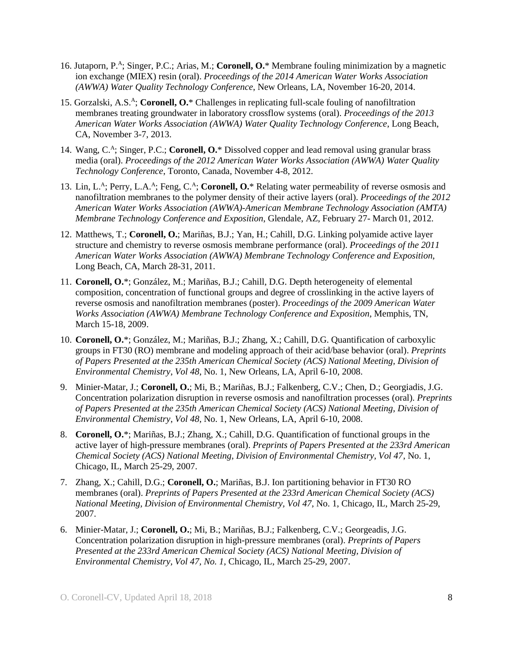- 16. Jutaporn, P. A ; Singer, P.C.; Arias, M.; **Coronell, O.**\* Membrane fouling minimization by a magnetic ion exchange (MIEX) resin (oral). *Proceedings of the 2014 American Water Works Association (AWWA) Water Quality Technology Conference*, New Orleans, LA, November 16-20, 2014.
- 15. Gorzalski, A.S.<sup>A</sup>; Coronell, O.\* Challenges in replicating full-scale fouling of nanofiltration membranes treating groundwater in laboratory crossflow systems (oral). *Proceedings of the 2013 American Water Works Association (AWWA) Water Quality Technology Conference*, Long Beach, CA, November 3-7, 2013.
- 14. Wang, C.<sup>A</sup>; Singer, P.C.; **Coronell, O.**\* Dissolved copper and lead removal using granular brass media (oral). *Proceedings of the 2012 American Water Works Association (AWWA) Water Quality Technology Conference*, Toronto, Canada, November 4-8, 2012.
- 13. Lin, L.<sup>A</sup>; Perry, L.A.<sup>A</sup>; Feng, C.<sup>A</sup>; Coronell, O.\* Relating water permeability of reverse osmosis and nanofiltration membranes to the polymer density of their active layers (oral). *Proceedings of the 2012 American Water Works Association (AWWA)-American Membrane Technology Association (AMTA) Membrane Technology Conference and Exposition*, Glendale, AZ, February 27- March 01, 2012.
- 12. Matthews, T.; **Coronell, O.**; Mariñas, B.J.; Yan, H.; Cahill, D.G. Linking polyamide active layer structure and chemistry to reverse osmosis membrane performance (oral). *Proceedings of the 2011 American Water Works Association (AWWA) Membrane Technology Conference and Exposition*, Long Beach, CA, March 28-31, 2011.
- 11. **Coronell, O.**\*; González, M.; Mariñas, B.J.; Cahill, D.G. Depth heterogeneity of elemental composition, concentration of functional groups and degree of crosslinking in the active layers of reverse osmosis and nanofiltration membranes (poster). *Proceedings of the 2009 American Water Works Association (AWWA) Membrane Technology Conference and Exposition*, Memphis, TN, March 15-18, 2009.
- 10. **Coronell, O.**\*; González, M.; Mariñas, B.J.; Zhang, X.; Cahill, D.G. Quantification of carboxylic groups in FT30 (RO) membrane and modeling approach of their acid/base behavior (oral). *Preprints of Papers Presented at the 235th American Chemical Society (ACS) National Meeting, Division of Environmental Chemistry*, *Vol 48*, No. 1, New Orleans, LA, April 6-10, 2008.
- 9. Minier-Matar, J.; **Coronell, O.**; Mi, B.; Mariñas, B.J.; Falkenberg, C.V.; Chen, D.; Georgiadis, J.G. Concentration polarization disruption in reverse osmosis and nanofiltration processes (oral). *Preprints of Papers Presented at the 235th American Chemical Society (ACS) National Meeting, Division of Environmental Chemistry*, *Vol 48*, No. 1, New Orleans, LA, April 6-10, 2008.
- 8. **Coronell, O.**\*; Mariñas, B.J.; Zhang, X.; Cahill, D.G. Quantification of functional groups in the active layer of high-pressure membranes (oral). *Preprints of Papers Presented at the 233rd American Chemical Society (ACS) National Meeting, Division of Environmental Chemistry, Vol 47*, No. 1, Chicago, IL, March 25-29, 2007.
- 7. Zhang, X.; Cahill, D.G.; **Coronell, O.**; Mariñas, B.J. Ion partitioning behavior in FT30 RO membranes (oral). *Preprints of Papers Presented at the 233rd American Chemical Society (ACS) National Meeting, Division of Environmental Chemistry, Vol 47*, No. 1, Chicago, IL, March 25-29, 2007.
- 6. Minier-Matar, J.; **Coronell, O.**; Mi, B.; Mariñas, B.J.; Falkenberg, C.V.; Georgeadis, J.G. Concentration polarization disruption in high-pressure membranes (oral). *Preprints of Papers Presented at the 233rd American Chemical Society (ACS) National Meeting, Division of Environmental Chemistry, Vol 47, No. 1*, Chicago, IL, March 25-29, 2007.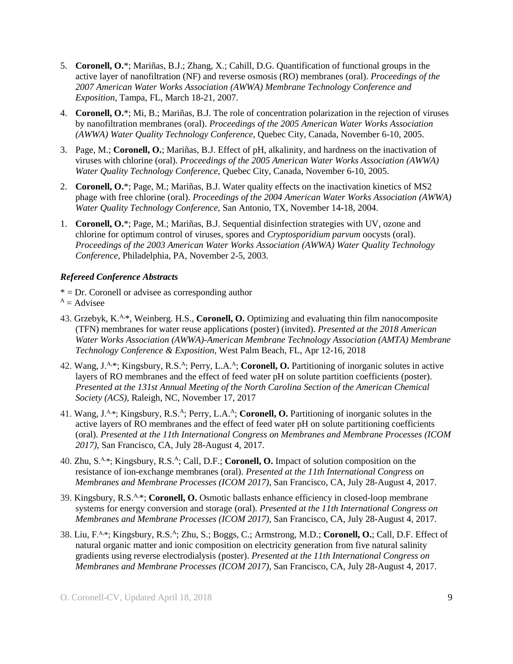- 5. **Coronell, O.**\*; Mariñas, B.J.; Zhang, X.; Cahill, D.G. Quantification of functional groups in the active layer of nanofiltration (NF) and reverse osmosis (RO) membranes (oral). *Proceedings of the 2007 American Water Works Association (AWWA) Membrane Technology Conference and Exposition*, Tampa, FL, March 18-21, 2007.
- 4. **Coronell, O.**\*; Mi, B.; Mariñas, B.J. The role of concentration polarization in the rejection of viruses by nanofiltration membranes (oral). *Proceedings of the 2005 American Water Works Association (AWWA) Water Quality Technology Conference,* Quebec City, Canada, November 6-10, 2005.
- 3. Page, M.; **Coronell, O.**; Mariñas, B.J. Effect of pH, alkalinity, and hardness on the inactivation of viruses with chlorine (oral). *Proceedings of the 2005 American Water Works Association (AWWA) Water Quality Technology Conference,* Quebec City, Canada, November 6-10, 2005.
- 2. **Coronell, O.**\*; Page, M.; Mariñas, B.J. Water quality effects on the inactivation kinetics of MS2 phage with free chlorine (oral). *Proceedings of the 2004 American Water Works Association (AWWA) Water Quality Technology Conference,* San Antonio, TX, November 14-18, 2004.
- 1. **Coronell, O.**\*; Page, M.; Mariñas, B.J. Sequential disinfection strategies with UV, ozone and chlorine for optimum control of viruses, spores and *Cryptosporidium parvum* oocysts (oral). *Proceedings of the 2003 American Water Works Association (AWWA) Water Quality Technology Conference,* Philadelphia, PA, November 2-5, 2003.

# *Refereed Conference Abstracts*

 $* = Dr$ . Coronell or advisee as corresponding author

- $A =$ Advisee
- 43. Grzebyk, K.A,\*, Weinberg. H.S., **Coronell, O.** Optimizing and evaluating thin film nanocomposite (TFN) membranes for water reuse applications (poster) (invited). *Presented at the 2018 American Water Works Association (AWWA)-American Membrane Technology Association (AMTA) Membrane Technology Conference & Exposition*, West Palm Beach, FL, Apr 12-16, 2018
- 42. Wang, J.<sup>A,\*</sup>; Kingsbury, R.S.<sup>A</sup>; Perry, L.A.<sup>A</sup>; Coronell, O. Partitioning of inorganic solutes in active layers of RO membranes and the effect of feed water pH on solute partition coefficients (poster). *Presented at the 131st Annual Meeting of the North Carolina Section of the American Chemical Society (ACS)*, Raleigh, NC, November 17, 2017
- 41. Wang, J.<sup>A,\*</sup>; Kingsbury, R.S.<sup>A</sup>; Perry, L.A.<sup>A</sup>; Coronell, O. Partitioning of inorganic solutes in the active layers of RO membranes and the effect of feed water pH on solute partitioning coefficients (oral). *Presented at the 11th International Congress on Membranes and Membrane Processes (ICOM 2017)*, San Francisco, CA, July 28-August 4, 2017.
- 40. Zhu, S.<sup>A.\*</sup>; Kingsbury, R.S.<sup>A</sup>; Call, D.F.; **Coronell, O.** Impact of solution composition on the resistance of ion-exchange membranes (oral). *Presented at the 11th International Congress on Membranes and Membrane Processes (ICOM 2017)*, San Francisco, CA, July 28-August 4, 2017.
- 39. Kingsbury, R.S. A,\*; **Coronell, O.** Osmotic ballasts enhance efficiency in closed-loop membrane systems for energy conversion and storage (oral). *Presented at the 11th International Congress on Membranes and Membrane Processes (ICOM 2017)*, San Francisco, CA, July 28-August 4, 2017.
- 38. Liu, F.<sup>A,\*</sup>; Kingsbury, R.S.<sup>A</sup>; Zhu, S.; Boggs, C.; Armstrong, M.D.; Coronell, O.; Call, D.F. Effect of natural organic matter and ionic composition on electricity generation from five natural salinity gradients using reverse electrodialysis (poster). *Presented at the 11th International Congress on Membranes and Membrane Processes (ICOM 2017)*, San Francisco, CA, July 28-August 4, 2017.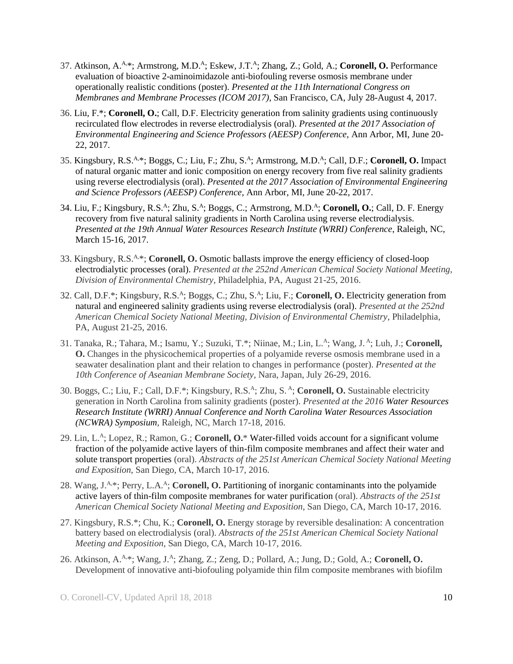- 37. Atkinson, A.<sup>A,\*</sup>; Armstrong, M.D.<sup>A</sup>; Eskew, J.T.<sup>A</sup>; Zhang, Z.; Gold, A.; Coronell, O. Performance evaluation of bioactive 2-aminoimidazole anti-biofouling reverse osmosis membrane under operationally realistic conditions (poster). *Presented at the 11th International Congress on Membranes and Membrane Processes (ICOM 2017)*, San Francisco, CA, July 28-August 4, 2017.
- 36. Liu, F.\*; **Coronell, O.**; Call, D.F. Electricity generation from salinity gradients using continuously recirculated flow electrodes in reverse electrodialysis (oral). *Presented at the 2017 Association of Environmental Engineering and Science Professors (AEESP) Conference,* Ann Arbor, MI, June 20- 22, 2017.
- 35. Kingsbury, R.S.A,\*; Boggs, C.; Liu, F.; Zhu, S.<sup>A</sup> ; Armstrong, M.D.<sup>A</sup> ; Call, D.F.; **Coronell, O.** Impact of natural organic matter and ionic composition on energy recovery from five real salinity gradients using reverse electrodialysis (oral). *Presented at the 2017 Association of Environmental Engineering and Science Professors (AEESP) Conference,* Ann Arbor, MI, June 20-22, 2017.
- 34. Liu, F.; Kingsbury, R.S.<sup>A</sup>; Zhu, S.<sup>A</sup>; Boggs, C.; Armstrong, M.D.<sup>A</sup>; Coronell, O.; Call, D. F. Energy recovery from five natural salinity gradients in North Carolina using reverse electrodialysis. *Presented at the 19th Annual Water Resources Research Institute (WRRI) Conference*, Raleigh, NC, March 15-16, 2017.
- 33. Kingsbury, R.S.A,\*; **Coronell, O.** Osmotic ballasts improve the energy efficiency of closed-loop electrodialytic processes (oral). *Presented at the 252nd American Chemical Society National Meeting, Division of Environmental Chemistry*, Philadelphia, PA, August 21-25, 2016.
- 32. Call, D.F.\*; Kingsbury, R.S.<sup>A</sup> ; Boggs, C.; Zhu, S.<sup>A</sup> ; Liu, F.; **Coronell, O.** Electricity generation from natural and engineered salinity gradients using reverse electrodialysis (oral). *Presented at the 252nd American Chemical Society National Meeting, Division of Environmental Chemistry*, Philadelphia, PA, August 21-25, 2016.
- 31. Tanaka, R.; Tahara, M.; Isamu, Y.; Suzuki, T.\*; Niinae, M.; Lin, L.<sup>A</sup>; Wang, J.<sup>A</sup>; Luh, J.; Coronell, **O.** Changes in the physicochemical properties of a polyamide reverse osmosis membrane used in a seawater desalination plant and their relation to changes in performance (poster). *Presented at the 10th Conference of Aseanian Membrane Society*, Nara, Japan, July 26-29, 2016.
- 30. Boggs, C.; Liu, F.; Call, D.F.\*; Kingsbury, R.S.<sup>A</sup> ; Zhu, S. <sup>A</sup> ; **Coronell, O.** Sustainable electricity generation in North Carolina from salinity gradients (poster). *Presented at the 2016 Water Resources Research Institute (WRRI) Annual Conference and North Carolina Water Resources Association (NCWRA) Symposium*, Raleigh, NC, March 17-18, 2016.
- 29. Lin, L.<sup>A</sup> ; Lopez, R.; Ramon, G.; **Coronell, O.**\* Water-filled voids account for a significant volume fraction of the polyamide active layers of thin-film composite membranes and affect their water and solute transport properties (oral). *Abstracts of the 251st American Chemical Society National Meeting and Exposition*, San Diego, CA, March 10-17, 2016.
- 28. Wang, J.A,\*; Perry, L.A.<sup>A</sup> ; **Coronell, O.** Partitioning of inorganic contaminants into the polyamide active layers of thin-film composite membranes for water purification (oral). *Abstracts of the 251st American Chemical Society National Meeting and Exposition*, San Diego, CA, March 10-17, 2016.
- 27. Kingsbury, R.S.\*; Chu, K.; **Coronell, O.** Energy storage by reversible desalination: A concentration battery based on electrodialysis (oral). *Abstracts of the 251st American Chemical Society National Meeting and Exposition*, San Diego, CA, March 10-17, 2016.
- 26. Atkinson, A.A,\*; Wang, J.<sup>A</sup> ; Zhang, Z.; Zeng, D.; Pollard, A.; Jung, D.; Gold, A.; **Coronell, O.** Development of innovative anti-biofouling polyamide thin film composite membranes with biofilm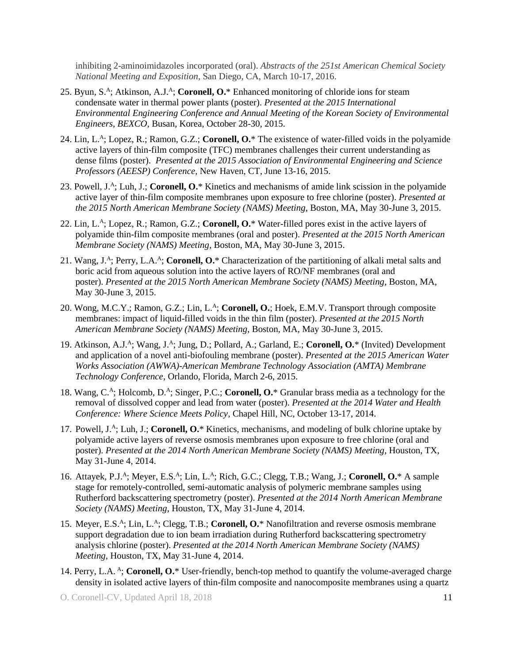inhibiting 2-aminoimidazoles incorporated (oral). *Abstracts of the 251st American Chemical Society National Meeting and Exposition*, San Diego, CA, March 10-17, 2016.

- 25. Byun, S.<sup>A</sup>; Atkinson, A.J.<sup>A</sup>; Coronell, O.\* Enhanced monitoring of chloride ions for steam condensate water in thermal power plants (poster). *Presented at the 2015 International Environmental Engineering Conference and Annual Meeting of the Korean Society of Environmental Engineers, BEXCO*, Busan, Korea, October 28-30, 2015.
- 24. Lin, L.<sup>A</sup> ; Lopez, R.; Ramon, G.Z.; **Coronell, O.**\* The existence of water-filled voids in the polyamide active layers of thin-film composite (TFC) membranes challenges their current understanding as dense films (poster). *Presented at the 2015 Association of Environmental Engineering and Science Professors (AEESP) Conference,* New Haven, CT, June 13-16, 2015.
- 23. Powell, J.<sup>A</sup>; Luh, J.; **Coronell, O.**\* Kinetics and mechanisms of amide link scission in the polyamide active layer of thin-film composite membranes upon exposure to free chlorine (poster). *Presented at the 2015 North American Membrane Society (NAMS) Meeting*, Boston, MA, May 30-June 3, 2015.
- 22. Lin, L. A ; Lopez, R.; Ramon, G.Z.; **Coronell, O.**\* Water-filled pores exist in the active layers of polyamide thin-film composite membranes (oral and poster). *Presented at the 2015 North American Membrane Society (NAMS) Meeting*, Boston, MA, May 30-June 3, 2015.
- 21. Wang, J.<sup>A</sup>; Perry, L.A.<sup>A</sup>; Coronell, O.\* Characterization of the partitioning of alkali metal salts and boric acid from aqueous solution into the active layers of RO/NF membranes (oral and poster). *Presented at the 2015 North American Membrane Society (NAMS) Meeting*, Boston, MA, May 30-June 3, 2015.
- 20. Wong, M.C.Y.; Ramon, G.Z.; Lin, L.<sup>A</sup> ; **Coronell, O.**; Hoek, E.M.V. Transport through composite membranes: impact of liquid-filled voids in the thin film (poster). *Presented at the 2015 North American Membrane Society (NAMS) Meeting*, Boston, MA, May 30-June 3, 2015.
- 19. Atkinson, A.J.<sup>A</sup>; Wang, J.<sup>A</sup>; Jung, D.; Pollard, A.; Garland, E.; Coronell, O.\* (Invited) Development and application of a novel anti-biofouling membrane (poster). *Presented at the 2015 American Water Works Association (AWWA)-American Membrane Technology Association (AMTA) Membrane Technology Conference*, Orlando, Florida, March 2-6, 2015.
- 18. Wang, C.<sup>A</sup>; Holcomb, D.<sup>A</sup>; Singer, P.C.; **Coronell, O.**\* Granular brass media as a technology for the removal of dissolved copper and lead from water (poster). *Presented at the 2014 Water and Health Conference: Where Science Meets Policy*, Chapel Hill, NC, October 13-17, 2014.
- 17. Powell, J.<sup>A</sup>; Luh, J.; **Coronell, O.**\* Kinetics, mechanisms, and modeling of bulk chlorine uptake by polyamide active layers of reverse osmosis membranes upon exposure to free chlorine (oral and poster). *Presented at the 2014 North American Membrane Society (NAMS) Meeting,* Houston, TX, May 31-June 4, 2014.
- 16. Attayek, P.J.<sup>A</sup>; Meyer, E.S.<sup>A</sup>; Lin, L.<sup>A</sup>; Rich, G.C.; Clegg, T.B.; Wang, J.; **Coronell, O.**\* A sample stage for remotely-controlled, semi-automatic analysis of polymeric membrane samples using Rutherford backscattering spectrometry (poster). *Presented at the 2014 North American Membrane Society (NAMS) Meeting,* Houston, TX, May 31-June 4, 2014.
- 15. Meyer, E.S.<sup>A</sup>; Lin, L.<sup>A</sup>; Clegg, T.B.; **Coronell, O.**\* Nanofiltration and reverse osmosis membrane support degradation due to ion beam irradiation during Rutherford backscattering spectrometry analysis chlorine (poster). *Presented at the 2014 North American Membrane Society (NAMS) Meeting,* Houston, TX, May 31-June 4, 2014.
- 14. Perry, L.A. <sup>A</sup> ; **Coronell, O.**\* User-friendly, bench-top method to quantify the volume-averaged charge density in isolated active layers of thin-film composite and nanocomposite membranes using a quartz

O. Coronell-CV, Updated April 18, 2018 11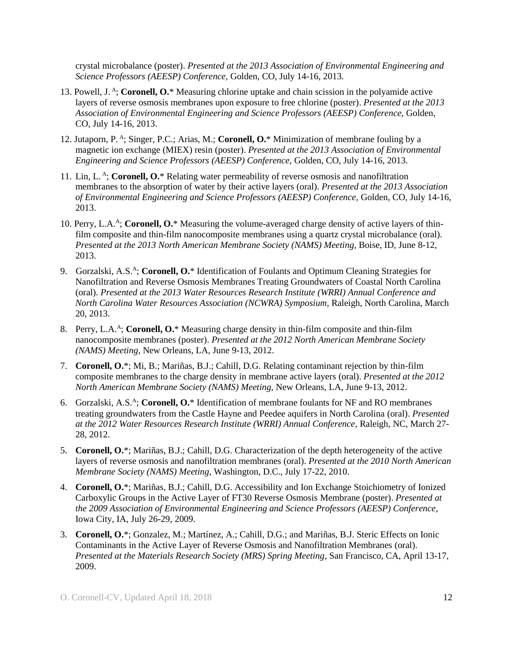crystal microbalance (poster). *Presented at the 2013 Association of Environmental Engineering and Science Professors (AEESP) Conference,* Golden, CO, July 14-16, 2013.

- 13. Powell, J. A ; **Coronell, O.**\* Measuring chlorine uptake and chain scission in the polyamide active layers of reverse osmosis membranes upon exposure to free chlorine (poster). *Presented at the 2013 Association of Environmental Engineering and Science Professors (AEESP) Conference,* Golden, CO, July 14-16, 2013.
- 12. Jutaporn, P. A ; Singer, P.C.; Arias, M.; **Coronell, O.**\* Minimization of membrane fouling by a magnetic ion exchange (MIEX) resin (poster). *Presented at the 2013 Association of Environmental Engineering and Science Professors (AEESP) Conference,* Golden, CO, July 14-16, 2013.
- 11. Lin, L. A ; **Coronell, O.**\* Relating water permeability of reverse osmosis and nanofiltration membranes to the absorption of water by their active layers (oral). *Presented at the 2013 Association of Environmental Engineering and Science Professors (AEESP) Conference,* Golden, CO, July 14-16, 2013.
- 10. Perry, L.A.<sup>A</sup>; Coronell, O.\* Measuring the volume-averaged charge density of active layers of thinfilm composite and thin-film nanocomposite membranes using a quartz crystal microbalance (oral). *Presented at the 2013 North American Membrane Society (NAMS) Meeting,* Boise, ID, June 8-12, 2013.
- 9. Gorzalski, A.S.<sup>A</sup>; Coronell, O.\* Identification of Foulants and Optimum Cleaning Strategies for Nanofiltration and Reverse Osmosis Membranes Treating Groundwaters of Coastal North Carolina (oral). *Presented at the 2013 Water Resources Research Institute (WRRI) Annual Conference and North Carolina Water Resources Association (NCWRA) Symposium*, Raleigh, North Carolina, March 20, 2013.
- 8. Perry, L.A.<sup>A</sup>; Coronell, O.\* Measuring charge density in thin-film composite and thin-film nanocomposite membranes (poster). *Presented at the 2012 North American Membrane Society (NAMS) Meeting,* New Orleans, LA, June 9-13, 2012.
- 7. **Coronell, O.**\*; Mi, B.; Mariñas, B.J.; Cahill, D.G. Relating contaminant rejection by thin-film composite membranes to the charge density in membrane active layers (oral). *Presented at the 2012 North American Membrane Society (NAMS) Meeting,* New Orleans, LA, June 9-13, 2012.
- 6. Gorzalski, A.S. A ; **Coronell, O.**\* Identification of membrane foulants for NF and RO membranes treating groundwaters from the Castle Hayne and Peedee aquifers in North Carolina (oral). *Presented at the 2012 Water Resources Research Institute (WRRI) Annual Conference*, Raleigh, NC, March 27- 28, 2012.
- 5. **Coronell, O.**\*; Mariñas, B.J.; Cahill, D.G. Characterization of the depth heterogeneity of the active layers of reverse osmosis and nanofiltration membranes (oral). *Presented at the 2010 North American Membrane Society (NAMS) Meeting,* Washington, D.C., July 17-22, 2010.
- 4. **Coronell, O.**\*; Mariñas, B.J.; Cahill, D.G. Accessibility and Ion Exchange Stoichiometry of Ionized Carboxylic Groups in the Active Layer of FT30 Reverse Osmosis Membrane (poster). *Presented at the 2009 Association of Environmental Engineering and Science Professors (AEESP) Conference,* Iowa City, IA, July 26-29, 2009.
- 3. **Coronell, O.**\*; Gonzalez, M.; Martínez, A.; Cahill, D.G.; and Mariñas, B.J. Steric Effects on Ionic Contaminants in the Active Layer of Reverse Osmosis and Nanofiltration Membranes (oral). *Presented at the Materials Research Society (MRS) Spring Meeting*, San Francisco, CA, April 13-17, 2009.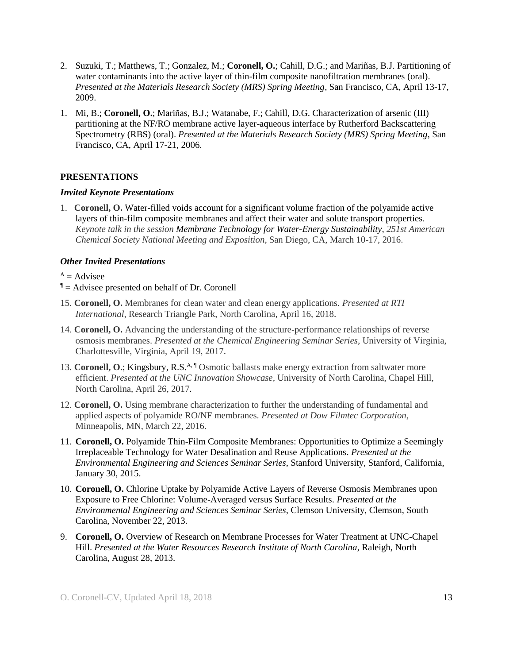- 2. Suzuki, T.; Matthews, T.; Gonzalez, M.; **Coronell, O.**; Cahill, D.G.; and Mariñas, B.J. Partitioning of water contaminants into the active layer of thin-film composite nanofiltration membranes (oral). *Presented at the Materials Research Society (MRS) Spring Meeting*, San Francisco, CA, April 13-17, 2009.
- 1. Mi, B.; **Coronell, O.**; Mariñas, B.J.; Watanabe, F.; Cahill, D.G. Characterization of arsenic (III) partitioning at the NF/RO membrane active layer-aqueous interface by Rutherford Backscattering Spectrometry (RBS) (oral). *Presented at the Materials Research Society (MRS) Spring Meeting*, San Francisco, CA, April 17-21, 2006.

## **PRESENTATIONS**

#### *Invited Keynote Presentations*

1. **Coronell, O.** Water-filled voids account for a significant volume fraction of the polyamide active layers of thin-film composite membranes and affect their water and solute transport properties. *Keynote talk in the session Membrane Technology for Water-Energy Sustainability, 251st American Chemical Society National Meeting and Exposition*, San Diego, CA, March 10-17, 2016.

#### *Other Invited Presentations*

- $A =$ Advisee
- $<sup>1</sup>$  = Advisee presented on behalf of Dr. Coronell</sup>
- 15. **Coronell, O.** Membranes for clean water and clean energy applications. *Presented at RTI International,* Research Triangle Park, North Carolina, April 16, 2018.
- 14. **Coronell, O.** Advancing the understanding of the structure-performance relationships of reverse osmosis membranes. *Presented at the Chemical Engineering Seminar Series,* University of Virginia, Charlottesville, Virginia, April 19, 2017.
- 13. **Coronell, O.**; Kingsbury, R.S.<sup>A, ¶</sup> Osmotic ballasts make energy extraction from saltwater more efficient. *Presented at the UNC Innovation Showcase,* University of North Carolina, Chapel Hill, North Carolina, April 26, 2017.
- 12. **Coronell, O.** Using membrane characterization to further the understanding of fundamental and applied aspects of polyamide RO/NF membranes. *Presented at Dow Filmtec Corporation,* Minneapolis, MN, March 22, 2016.
- 11. **Coronell, O.** Polyamide Thin-Film Composite Membranes: Opportunities to Optimize a Seemingly Irreplaceable Technology for Water Desalination and Reuse Applications. *Presented at the Environmental Engineering and Sciences Seminar Series*, Stanford University, Stanford, California, January 30, 2015.
- 10. **Coronell, O.** Chlorine Uptake by Polyamide Active Layers of Reverse Osmosis Membranes upon Exposure to Free Chlorine: Volume-Averaged versus Surface Results. *Presented at the Environmental Engineering and Sciences Seminar Series*, Clemson University, Clemson, South Carolina, November 22, 2013.
- 9. **Coronell, O.** Overview of Research on Membrane Processes for Water Treatment at UNC-Chapel Hill. *Presented at the Water Resources Research Institute of North Carolina*, Raleigh, North Carolina, August 28, 2013.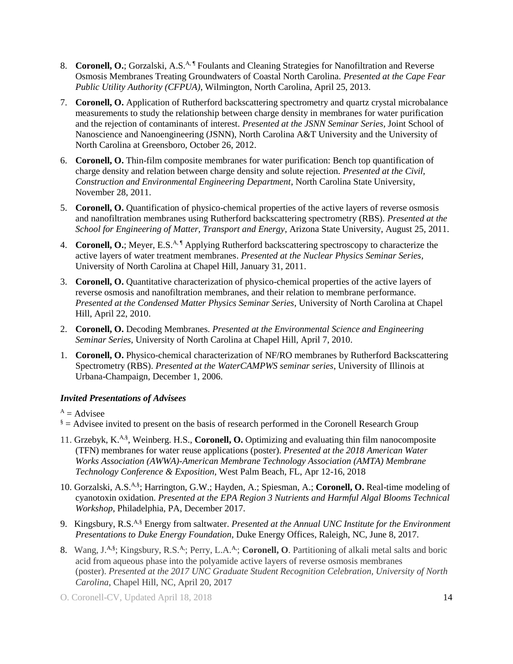- 8. Coronell, O.; Gorzalski, A.S.<sup>A, ¶</sup> Foulants and Cleaning Strategies for Nanofiltration and Reverse Osmosis Membranes Treating Groundwaters of Coastal North Carolina. *Presented at the Cape Fear Public Utility Authority (CFPUA)*, Wilmington, North Carolina, April 25, 2013.
- 7. **Coronell, O.** Application of Rutherford backscattering spectrometry and quartz crystal microbalance measurements to study the relationship between charge density in membranes for water purification and the rejection of contaminants of interest. *Presented at the JSNN Seminar Series*, Joint School of Nanoscience and Nanoengineering (JSNN), North Carolina A&T University and the University of North Carolina at Greensboro, October 26, 2012.
- 6. **Coronell, O.** Thin-film composite membranes for water purification: Bench top quantification of charge density and relation between charge density and solute rejection. *Presented at the Civil, Construction and Environmental Engineering Department*, North Carolina State University, November 28, 2011.
- 5. **Coronell, O.** Quantification of physico-chemical properties of the active layers of reverse osmosis and nanofiltration membranes using Rutherford backscattering spectrometry (RBS). *Presented at the School for Engineering of Matter, Transport and Energy*, Arizona State University, August 25, 2011.
- 4. **Coronell, O.**; Meyer, E.S.<sup>A, ¶</sup> Applying Rutherford backscattering spectroscopy to characterize the active layers of water treatment membranes. *Presented at the Nuclear Physics Seminar Series*, University of North Carolina at Chapel Hill, January 31, 2011.
- 3. **Coronell, O.** Quantitative characterization of physico-chemical properties of the active layers of reverse osmosis and nanofiltration membranes, and their relation to membrane performance. *Presented at the Condensed Matter Physics Seminar Series*, University of North Carolina at Chapel Hill, April 22, 2010.
- 2. **Coronell, O.** Decoding Membranes. *Presented at the Environmental Science and Engineering Seminar Series*, University of North Carolina at Chapel Hill, April 7, 2010.
- 1. **Coronell, O.** Physico-chemical characterization of NF/RO membranes by Rutherford Backscattering Spectrometry (RBS). *Presented at the WaterCAMPWS seminar series*, University of Illinois at Urbana-Champaign, December 1, 2006.

# *Invited Presentations of Advisees*

 $A =$  Advisee

- $\frac{1}{6}$  = Advisee invited to present on the basis of research performed in the Coronell Research Group
- 11. Grzebyk, K.<sup>A,§</sup>, Weinberg. H.S., **Coronell, O.** Optimizing and evaluating thin film nanocomposite (TFN) membranes for water reuse applications (poster). *Presented at the 2018 American Water Works Association (AWWA)-American Membrane Technology Association (AMTA) Membrane Technology Conference & Exposition*, West Palm Beach, FL, Apr 12-16, 2018
- 10. Gorzalski, A.S.<sup>A,§</sup>; Harrington, G.W.; Hayden, A.; Spiesman, A.; Coronell, O. Real-time modeling of cyanotoxin oxidation. *Presented at the EPA Region 3 Nutrients and Harmful Algal Blooms Technical Workshop*, Philadelphia, PA, December 2017.
- 9. Kingsbury, R.S. A,§ Energy from saltwater. *Presented at the Annual UNC Institute for the Environment Presentations to Duke Energy Foundation,* Duke Energy Offices, Raleigh, NC, June 8, 2017.
- 8. Wang, J.<sup>A,§</sup>; Kingsbury, R.S.<sup>A,</sup>; Perry, L.A.<sup>A</sup>,; Coronell, O. Partitioning of alkali metal salts and boric acid from aqueous phase into the polyamide active layers of reverse osmosis membranes (poster). *Presented at the 2017 UNC Graduate Student Recognition Celebration, University of North Carolina*, Chapel Hill, NC, April 20, 2017
- O. Coronell-CV, Updated April 18, 2018 14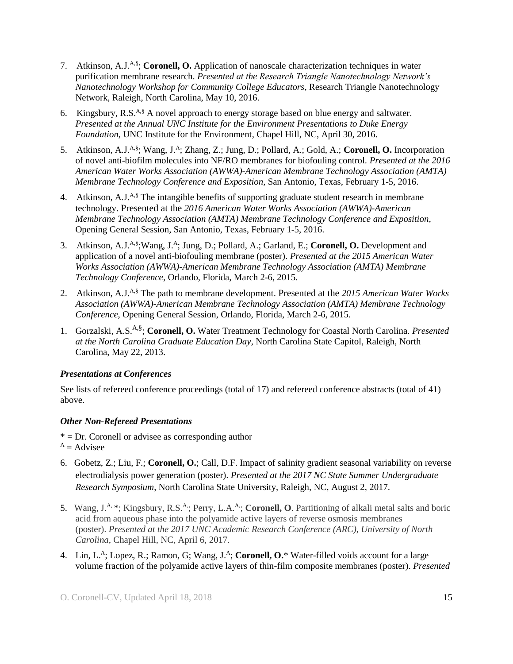- 7. Atkinson, A.J.<sup>A,§</sup>; **Coronell, O.** Application of nanoscale characterization techniques in water purification membrane research. *Presented at the Research Triangle Nanotechnology Network's Nanotechnology Workshop for Community College Educators*, Research Triangle Nanotechnology Network, Raleigh, North Carolina, May 10, 2016.
- 6. Kingsbury,  $R.S.^{A,\S}$  A novel approach to energy storage based on blue energy and saltwater. *Presented at the Annual UNC Institute for the Environment Presentations to Duke Energy Foundation,* UNC Institute for the Environment, Chapel Hill, NC, April 30, 2016.
- 5. Atkinson, A.J.<sup>A,§</sup>; Wang, J.<sup>A</sup>; Zhang, Z.; Jung, D.; Pollard, A.; Gold, A.; Coronell, O. Incorporation of novel anti-biofilm molecules into NF/RO membranes for biofouling control. *Presented at the 2016 American Water Works Association (AWWA)-American Membrane Technology Association (AMTA) Membrane Technology Conference and Exposition,* San Antonio, Texas, February 1-5, 2016.
- 4. Atkinson, A.J.<sup>A,§</sup> The intangible benefits of supporting graduate student research in membrane technology. Presented at the *2016 American Water Works Association (AWWA)-American Membrane Technology Association (AMTA) Membrane Technology Conference and Exposition,*  Opening General Session, San Antonio, Texas, February 1-5, 2016.
- 3. Atkinson, A.J.<sup>A,§</sup>; Wang, J.<sup>A</sup>; Jung, D.; Pollard, A.; Garland, E.; Coronell, O. Development and application of a novel anti-biofouling membrane (poster). *Presented at the 2015 American Water Works Association (AWWA)-American Membrane Technology Association (AMTA) Membrane Technology Conference*, Orlando, Florida, March 2-6, 2015.
- 2. Atkinson, A.J.<sup>A,§</sup> The path to membrane development. Presented at the 2015 American Water Works *Association (AWWA)-American Membrane Technology Association (AMTA) Membrane Technology Conference*, Opening General Session, Orlando, Florida, March 2-6, 2015.
- 1. Gorzalski, A.S. A,§ ; **Coronell, O.** Water Treatment Technology for Coastal North Carolina. *Presented at the North Carolina Graduate Education Day*, North Carolina State Capitol, Raleigh, North Carolina, May 22, 2013.

# *Presentations at Conferences*

See lists of refereed conference proceedings (total of 17) and refereed conference abstracts (total of 41) above.

# *Other Non-Refereed Presentations*

 $* = Dr$ . Coronell or advisee as corresponding author

- $A =$ Advisee
- 6. Gobetz, Z.; Liu, F.; **Coronell, O.**; Call, D.F. Impact of salinity gradient seasonal variability on reverse electrodialysis power generation (poster). *Presented at the 2017 NC State Summer Undergraduate Research Symposium*, North Carolina State University, Raleigh, NC, August 2, 2017.
- 5. Wang, J.A, \*; Kingsbury, R.S.A,; Perry, L.A.A,; **Coronell, O**. Partitioning of alkali metal salts and boric acid from aqueous phase into the polyamide active layers of reverse osmosis membranes (poster). *Presented at the 2017 UNC Academic Research Conference (ARC), University of North Carolina*, Chapel Hill, NC, April 6, 2017.
- 4. Lin, L.<sup>A</sup>; Lopez, R.; Ramon, G; Wang, J.<sup>A</sup>; Coronell, O.\* Water-filled voids account for a large volume fraction of the polyamide active layers of thin-film composite membranes (poster). *Presented*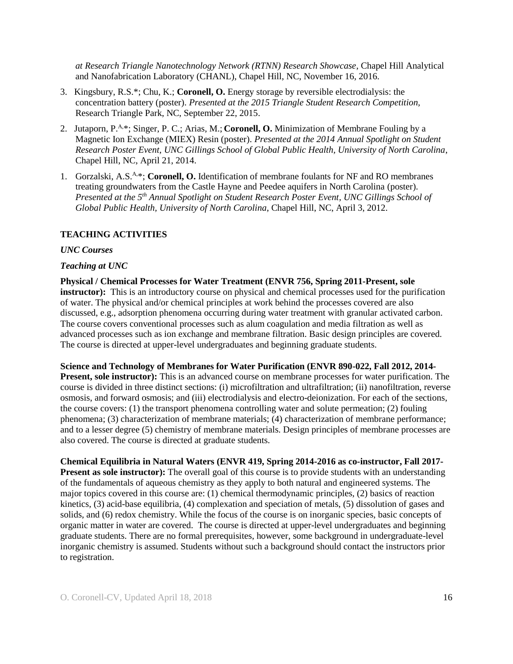*at Research Triangle Nanotechnology Network (RTNN) Research Showcase*, Chapel Hill Analytical and Nanofabrication Laboratory (CHANL), Chapel Hill, NC, November 16, 2016.

- 3. Kingsbury, R.S.\*; Chu, K.; **Coronell, O.** Energy storage by reversible electrodialysis: the concentration battery (poster). *Presented at the 2015 Triangle Student Research Competition,* Research Triangle Park, NC, September 22, 2015.
- 2. Jutaporn, P.A,\*; Singer, P. C.; Arias, M.; **Coronell, O.** Minimization of Membrane Fouling by a Magnetic Ion Exchange (MIEX) Resin (poster). *Presented at the 2014 Annual Spotlight on Student Research Poster Event, UNC Gillings School of Global Public Health, University of North Carolina*, Chapel Hill, NC, April 21, 2014.
- 1. Gorzalski, A.S.<sup>A,\*</sup>; Coronell, O. Identification of membrane foulants for NF and RO membranes treating groundwaters from the Castle Hayne and Peedee aquifers in North Carolina (poster). *Presented at the 5 th Annual Spotlight on Student Research Poster Event, UNC Gillings School of Global Public Health, University of North Carolina*, Chapel Hill, NC, April 3, 2012.

## **TEACHING ACTIVITIES**

#### *UNC Courses*

#### *Teaching at UNC*

**Physical / Chemical Processes for Water Treatment (ENVR 756, Spring 2011-Present, sole instructor):** This is an introductory course on physical and chemical processes used for the purification of water. The physical and/or chemical principles at work behind the processes covered are also discussed, e.g., adsorption phenomena occurring during water treatment with granular activated carbon. The course covers conventional processes such as alum coagulation and media filtration as well as advanced processes such as ion exchange and membrane filtration. Basic design principles are covered. The course is directed at upper-level undergraduates and beginning graduate students.

**Science and Technology of Membranes for Water Purification (ENVR 890-022, Fall 2012, 2014- Present, sole instructor):** This is an advanced course on membrane processes for water purification. The course is divided in three distinct sections: (i) microfiltration and ultrafiltration; (ii) nanofiltration, reverse osmosis, and forward osmosis; and (iii) electrodialysis and electro-deionization. For each of the sections, the course covers: (1) the transport phenomena controlling water and solute permeation; (2) fouling phenomena; (3) characterization of membrane materials; (4) characterization of membrane performance; and to a lesser degree (5) chemistry of membrane materials. Design principles of membrane processes are also covered. The course is directed at graduate students.

**Chemical Equilibria in Natural Waters (ENVR 419, Spring 2014-2016 as co-instructor, Fall 2017- Present as sole instructor):** The overall goal of this course is to provide students with an understanding of the fundamentals of aqueous chemistry as they apply to both natural and engineered systems. The

major topics covered in this course are: (1) chemical thermodynamic principles, (2) basics of reaction kinetics, (3) acid-base equilibria, (4) complexation and speciation of metals, (5) dissolution of gases and solids, and (6) redox chemistry. While the focus of the course is on inorganic species, basic concepts of organic matter in water are covered. The course is directed at upper-level undergraduates and beginning graduate students. There are no formal prerequisites, however, some background in undergraduate-level inorganic chemistry is assumed. Students without such a background should contact the instructors prior to registration.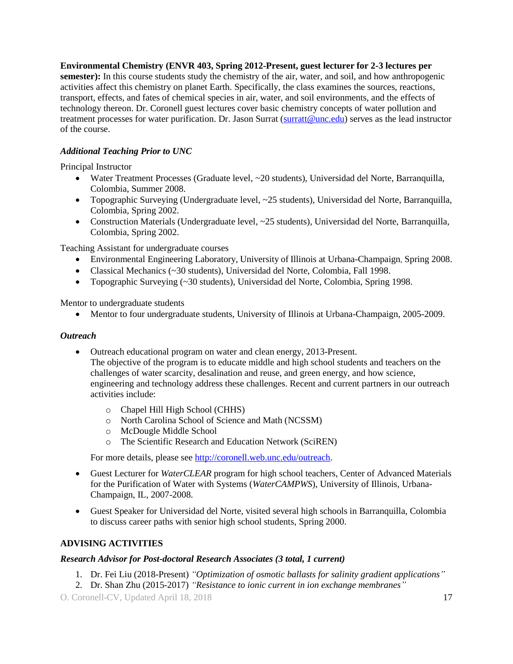**Environmental Chemistry (ENVR 403, Spring 2012-Present, guest lecturer for 2-3 lectures per semester):** In this course students study the chemistry of the air, water, and soil, and how anthropogenic activities affect this chemistry on planet Earth. Specifically, the class examines the sources, reactions, transport, effects, and fates of chemical species in air, water, and soil environments, and the effects of technology thereon. Dr. Coronell guest lectures cover basic chemistry concepts of water pollution and treatment processes for water purification. Dr. Jason Surrat [\(surratt@unc.edu\)](mailto:surratt@unc.edu) serves as the lead instructor of the course.

# *Additional Teaching Prior to UNC*

Principal Instructor

- Water Treatment Processes (Graduate level, ~20 students), Universidad del Norte, Barranquilla, Colombia, Summer 2008.
- Topographic Surveying (Undergraduate level, ~25 students), Universidad del Norte, Barranquilla, Colombia, Spring 2002.
- Construction Materials (Undergraduate level, ~25 students), Universidad del Norte, Barranquilla, Colombia, Spring 2002.

Teaching Assistant for undergraduate courses

- Environmental Engineering Laboratory, University of Illinois at Urbana-Champaign, Spring 2008.
- Classical Mechanics (~30 students), Universidad del Norte, Colombia, Fall 1998.
- Topographic Surveying (~30 students), Universidad del Norte, Colombia, Spring 1998.

Mentor to undergraduate students

Mentor to four undergraduate students, University of Illinois at Urbana-Champaign, 2005-2009.

#### *Outreach*

• Outreach educational program on water and clean energy, 2013-Present.

The objective of the program is to educate middle and high school students and teachers on the challenges of water scarcity, desalination and reuse, and green energy, and how science, engineering and technology address these challenges. Recent and current partners in our outreach activities include:

- o Chapel Hill High School (CHHS)
- o North Carolina School of Science and Math (NCSSM)
- o McDougle Middle School
- o The Scientific Research and Education Network (SciREN)

For more details, please se[e http://coronell.web.unc.edu/outreach.](http://coronell.web.unc.edu/outreach)

- Guest Lecturer for *WaterCLEAR* program for high school teachers, Center of Advanced Materials for the Purification of Water with Systems (*WaterCAMPWS*), University of Illinois, Urbana-Champaign, IL, 2007-2008.
- Guest Speaker for Universidad del Norte, visited several high schools in Barranquilla, Colombia to discuss career paths with senior high school students, Spring 2000.

#### **ADVISING ACTIVITIES**

#### *Research Advisor for Post-doctoral Research Associates (3 total, 1 current)*

- 1. Dr. Fei Liu (2018-Present) *"Optimization of osmotic ballasts for salinity gradient applications"*
- 2. Dr. Shan Zhu (2015-2017) *"Resistance to ionic current in ion exchange membranes"*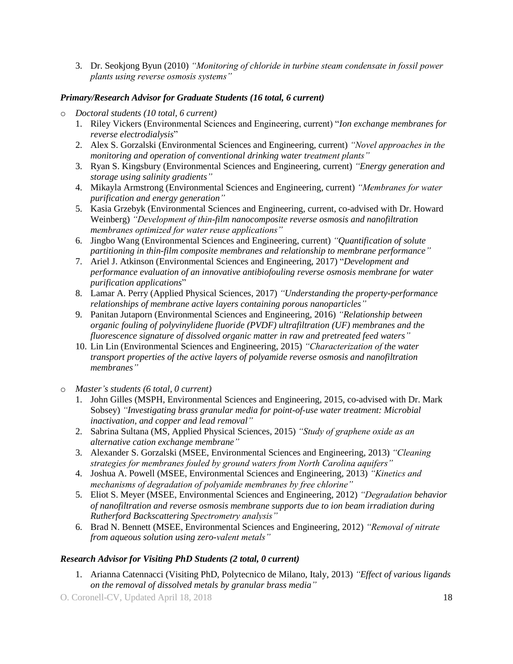3. Dr. Seokjong Byun (2010) *"Monitoring of chloride in turbine steam condensate in fossil power plants using reverse osmosis systems"*

# *Primary/Research Advisor for Graduate Students (16 total, 6 current)*

- o *Doctoral students (10 total, 6 current)*
	- 1. Riley Vickers (Environmental Sciences and Engineering, current) "*Ion exchange membranes for reverse electrodialysis*"
	- 2. Alex S. Gorzalski (Environmental Sciences and Engineering, current) *"Novel approaches in the monitoring and operation of conventional drinking water treatment plants"*
	- 3. Ryan S. Kingsbury (Environmental Sciences and Engineering, current) *"Energy generation and storage using salinity gradients"*
	- 4. Mikayla Armstrong (Environmental Sciences and Engineering, current) *"Membranes for water purification and energy generation"*
	- 5. Kasia Grzebyk (Environmental Sciences and Engineering, current, co-advised with Dr. Howard Weinberg) *"Development of thin-film nanocomposite reverse osmosis and nanofiltration membranes optimized for water reuse applications"*
	- 6. Jingbo Wang (Environmental Sciences and Engineering, current) *"Quantification of solute partitioning in thin-film composite membranes and relationship to membrane performance"*
	- 7. Ariel J. Atkinson (Environmental Sciences and Engineering, 2017) "*Development and performance evaluation of an innovative antibiofouling reverse osmosis membrane for water purification applications*"
	- 8. Lamar A. Perry (Applied Physical Sciences, 2017) *"Understanding the property-performance relationships of membrane active layers containing porous nanoparticles"*
	- 9. Panitan Jutaporn (Environmental Sciences and Engineering, 2016) *"Relationship between organic fouling of polyvinylidene fluoride (PVDF) ultrafiltration (UF) membranes and the fluorescence signature of dissolved organic matter in raw and pretreated feed waters"*
	- 10. Lin Lin (Environmental Sciences and Engineering, 2015) *"Characterization of the water transport properties of the active layers of polyamide reverse osmosis and nanofiltration membranes"*
- o *Master's students (6 total, 0 current)*
	- 1. John Gilles (MSPH, Environmental Sciences and Engineering, 2015, co-advised with Dr. Mark Sobsey) *"Investigating brass granular media for point-of-use water treatment: Microbial inactivation, and copper and lead removal"*
	- 2. Sabrina Sultana (MS, Applied Physical Sciences, 2015) *"Study of graphene oxide as an alternative cation exchange membrane"*
	- 3. Alexander S. Gorzalski (MSEE, Environmental Sciences and Engineering, 2013) *"Cleaning strategies for membranes fouled by ground waters from North Carolina aquifers"*
	- 4. Joshua A. Powell (MSEE, Environmental Sciences and Engineering, 2013) *"Kinetics and mechanisms of degradation of polyamide membranes by free chlorine"*
	- 5. Eliot S. Meyer (MSEE, Environmental Sciences and Engineering, 2012) *"Degradation behavior of nanofiltration and reverse osmosis membrane supports due to ion beam irradiation during Rutherford Backscattering Spectrometry analysis"*
	- 6. Brad N. Bennett (MSEE, Environmental Sciences and Engineering, 2012) *"Removal of nitrate from aqueous solution using zero-valent metals"*

# *Research Advisor for Visiting PhD Students (2 total, 0 current)*

1. Arianna Catennacci (Visiting PhD, Polytecnico de Milano, Italy, 2013) *"Effect of various ligands on the removal of dissolved metals by granular brass media"*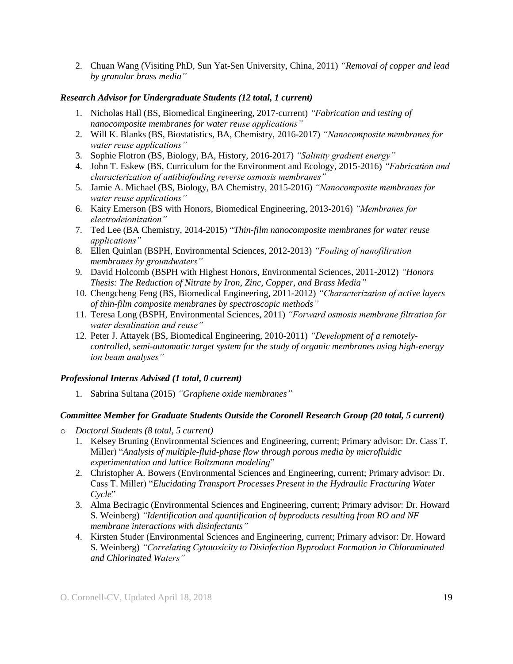2. Chuan Wang (Visiting PhD, Sun Yat-Sen University, China, 2011) *"Removal of copper and lead by granular brass media"*

## *Research Advisor for Undergraduate Students (12 total, 1 current)*

- 1. Nicholas Hall (BS, Biomedical Engineering, 2017-current) *"Fabrication and testing of nanocomposite membranes for water reuse applications"*
- 2. Will K. Blanks (BS, Biostatistics, BA, Chemistry, 2016-2017) *"Nanocomposite membranes for water reuse applications"*
- 3. Sophie Flotron (BS, Biology, BA, History, 2016-2017) *"Salinity gradient energy"*
- 4. John T. Eskew (BS, Curriculum for the Environment and Ecology, 2015-2016) *"Fabrication and characterization of antibiofouling reverse osmosis membranes"*
- 5. Jamie A. Michael (BS, Biology, BA Chemistry, 2015-2016) *"Nanocomposite membranes for water reuse applications"*
- 6. Kaity Emerson (BS with Honors, Biomedical Engineering, 2013-2016) *"Membranes for electrodeionization"*
- 7. Ted Lee (BA Chemistry, 2014-2015) "*Thin-film nanocomposite membranes for water reuse applications"*
- 8. Ellen Quinlan (BSPH, Environmental Sciences, 2012-2013) *"Fouling of nanofiltration membranes by groundwaters"*
- 9. David Holcomb (BSPH with Highest Honors, Environmental Sciences, 2011-2012) *"Honors Thesis: The Reduction of Nitrate by Iron, Zinc, Copper, and Brass Media"*
- 10. Chengcheng Feng (BS, Biomedical Engineering, 2011-2012) *"Characterization of active layers of thin-film composite membranes by spectroscopic methods"*
- 11. Teresa Long (BSPH, Environmental Sciences, 2011) *"Forward osmosis membrane filtration for water desalination and reuse"*
- 12. Peter J. Attayek (BS, Biomedical Engineering, 2010-2011) *"Development of a remotelycontrolled, semi-automatic target system for the study of organic membranes using high-energy ion beam analyses"*

#### *Professional Interns Advised (1 total, 0 current)*

1. Sabrina Sultana (2015) *"Graphene oxide membranes"*

# *Committee Member for Graduate Students Outside the Coronell Research Group (20 total, 5 current)*

- o *Doctoral Students (8 total, 5 current)*
	- 1. Kelsey Bruning (Environmental Sciences and Engineering, current; Primary advisor: Dr. Cass T. Miller) "*Analysis of multiple-fluid-phase flow through porous media by microfluidic experimentation and lattice Boltzmann modeling*"
	- 2. Christopher A. Bowers (Environmental Sciences and Engineering, current; Primary advisor: Dr. Cass T. Miller) "*Elucidating Transport Processes Present in the Hydraulic Fracturing Water Cycle*"
	- 3. Alma Beciragic (Environmental Sciences and Engineering, current; Primary advisor: Dr. Howard S. Weinberg) *"Identification and quantification of byproducts resulting from RO and NF membrane interactions with disinfectants"*
	- 4. Kirsten Studer (Environmental Sciences and Engineering, current; Primary advisor: Dr. Howard S. Weinberg) *"Correlating Cytotoxicity to Disinfection Byproduct Formation in Chloraminated and Chlorinated Waters"*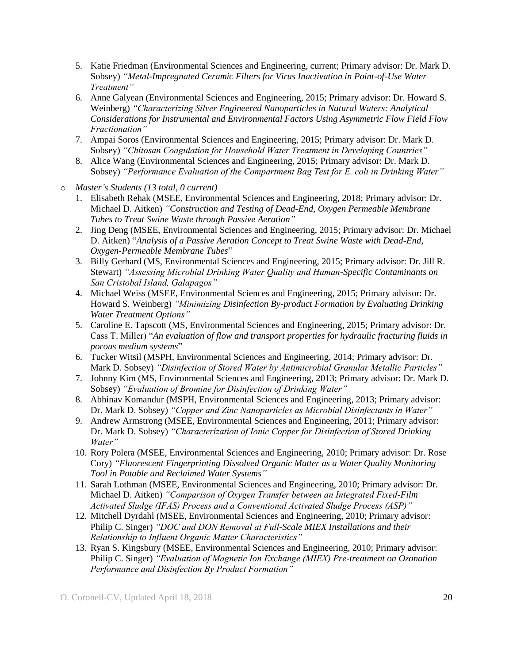- 5. Katie Friedman (Environmental Sciences and Engineering, current; Primary advisor: Dr. Mark D. Sobsey) *"Metal-Impregnated Ceramic Filters for Virus Inactivation in Point-of-Use Water Treatment"*
- 6. Anne Galyean (Environmental Sciences and Engineering, 2015; Primary advisor: Dr. Howard S. Weinberg) *"Characterizing Silver Engineered Nanoparticles in Natural Waters: Analytical Considerations for Instrumental and Environmental Factors Using Asymmetric Flow Field Flow Fractionation"*
- 7. Ampai Soros (Environmental Sciences and Engineering, 2015; Primary advisor: Dr. Mark D. Sobsey) *"Chitosan Coagulation for Household Water Treatment in Developing Countries"*
- 8. Alice Wang (Environmental Sciences and Engineering, 2015; Primary advisor: Dr. Mark D. Sobsey) *"Performance Evaluation of the Compartment Bag Test for E. coli in Drinking Water"*
- o *Master's Students (13 total, 0 current)*
	- 1. Elisabeth Rehak (MSEE, Environmental Sciences and Engineering, 2018; Primary advisor: Dr. Michael D. Aitken) *"Construction and Testing of Dead-End, Oxygen Permeable Membrane Tubes to Treat Swine Waste through Passive Aeration"*
	- 2. Jing Deng (MSEE, Environmental Sciences and Engineering, 2015; Primary advisor: Dr. Michael D. Aitken) "*Analysis of a Passive Aeration Concept to Treat Swine Waste with Dead-End, Oxygen-Permeable Membrane Tubes*"
	- 3. Billy Gerhard (MS, Environmental Sciences and Engineering, 2015; Primary advisor: Dr. Jill R. Stewart) *"Assessing Microbial Drinking Water Quality and Human-Specific Contaminants on San Cristobal Island, Galapagos"*
	- 4. Michael Weiss (MSEE, Environmental Sciences and Engineering, 2015; Primary advisor: Dr. Howard S. Weinberg) *"Minimizing Disinfection By-product Formation by Evaluating Drinking Water Treatment Options"*
	- 5. Caroline E. Tapscott (MS, Environmental Sciences and Engineering, 2015; Primary advisor: Dr. Cass T. Miller) "*An evaluation of flow and transport properties for hydraulic fracturing fluids in porous medium systems*"
	- 6. Tucker Witsil (MSPH, Environmental Sciences and Engineering, 2014; Primary advisor: Dr. Mark D. Sobsey) *"Disinfection of Stored Water by Antimicrobial Granular Metallic Particles"*
	- 7. Johnny Kim (MS, Environmental Sciences and Engineering, 2013; Primary advisor: Dr. Mark D. Sobsey) *"Evaluation of Bromine for Disinfection of Drinking Water"*
	- 8. Abhinav Komandur (MSPH, Environmental Sciences and Engineering, 2013; Primary advisor: Dr. Mark D. Sobsey) *"Copper and Zinc Nanoparticles as Microbial Disinfectants in Water"*
	- 9. Andrew Armstrong (MSEE, Environmental Sciences and Engineering, 2011; Primary advisor: Dr. Mark D. Sobsey) *"Characterization of Ionic Copper for Disinfection of Stored Drinking Water"*
	- 10. Rory Polera (MSEE, Environmental Sciences and Engineering, 2010; Primary advisor: Dr. Rose Cory) *"Fluorescent Fingerprinting Dissolved Organic Matter as a Water Quality Monitoring Tool in Potable and Reclaimed Water Systems"*
	- 11. Sarah Lothman (MSEE, Environmental Sciences and Engineering, 2010; Primary advisor: Dr. Michael D. Aitken) *"Comparison of Oxygen Transfer between an Integrated Fixed-Film Activated Sludge (IFAS) Process and a Conventional Activated Sludge Process (ASP)"*
	- 12. Mitchell Dyrdahl (MSEE, Environmental Sciences and Engineering, 2010; Primary advisor: Philip C. Singer) *"DOC and DON Removal at Full-Scale MIEX Installations and their Relationship to Influent Organic Matter Characteristics"*
	- 13. Ryan S. Kingsbury (MSEE, Environmental Sciences and Engineering, 2010; Primary advisor: Philip C. Singer) *"Evaluation of Magnetic Ion Exchange (MIEX) Pre-treatment on Ozonation Performance and Disinfection By Product Formation"*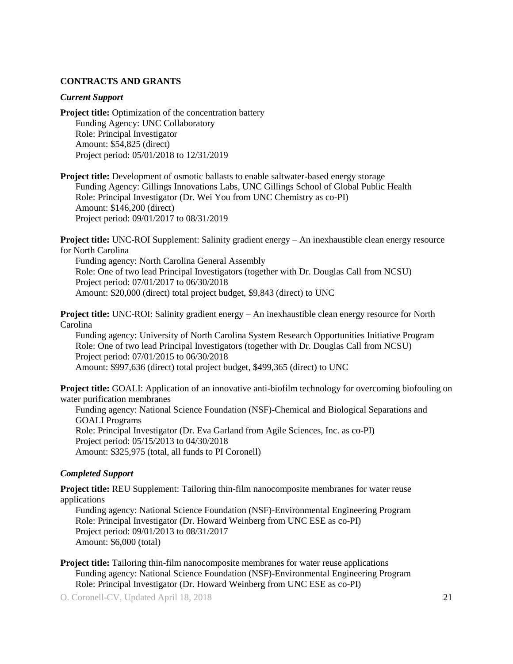#### **CONTRACTS AND GRANTS**

#### *Current Support*

**Project title:** Optimization of the concentration battery Funding Agency: UNC Collaboratory Role: Principal Investigator Amount: \$54,825 (direct) Project period: 05/01/2018 to 12/31/2019

**Project title:** Development of osmotic ballasts to enable saltwater-based energy storage Funding Agency: Gillings Innovations Labs, UNC Gillings School of Global Public Health Role: Principal Investigator (Dr. Wei You from UNC Chemistry as co-PI) Amount: \$146,200 (direct) Project period: 09/01/2017 to 08/31/2019

**Project title:** UNC-ROI Supplement: Salinity gradient energy – An inexhaustible clean energy resource for North Carolina

Funding agency: North Carolina General Assembly Role: One of two lead Principal Investigators (together with Dr. Douglas Call from NCSU) Project period: 07/01/2017 to 06/30/2018 Amount: \$20,000 (direct) total project budget, \$9,843 (direct) to UNC

**Project title:** UNC-ROI: Salinity gradient energy – An inexhaustible clean energy resource for North Carolina

Funding agency: University of North Carolina System Research Opportunities Initiative Program Role: One of two lead Principal Investigators (together with Dr. Douglas Call from NCSU) Project period: 07/01/2015 to 06/30/2018 Amount: \$997,636 (direct) total project budget, \$499,365 (direct) to UNC

**Project title:** GOALI: Application of an innovative anti-biofilm technology for overcoming biofouling on water purification membranes

Funding agency: National Science Foundation (NSF)-Chemical and Biological Separations and GOALI Programs Role: Principal Investigator (Dr. Eva Garland from Agile Sciences, Inc. as co-PI) Project period: 05/15/2013 to 04/30/2018 Amount: \$325,975 (total, all funds to PI Coronell)

#### *Completed Support*

**Project title:** REU Supplement: Tailoring thin-film nanocomposite membranes for water reuse applications

Funding agency: National Science Foundation (NSF)-Environmental Engineering Program Role: Principal Investigator (Dr. Howard Weinberg from UNC ESE as co-PI) Project period: 09/01/2013 to 08/31/2017 Amount: \$6,000 (total)

**Project title:** Tailoring thin-film nanocomposite membranes for water reuse applications Funding agency: National Science Foundation (NSF)-Environmental Engineering Program Role: Principal Investigator (Dr. Howard Weinberg from UNC ESE as co-PI)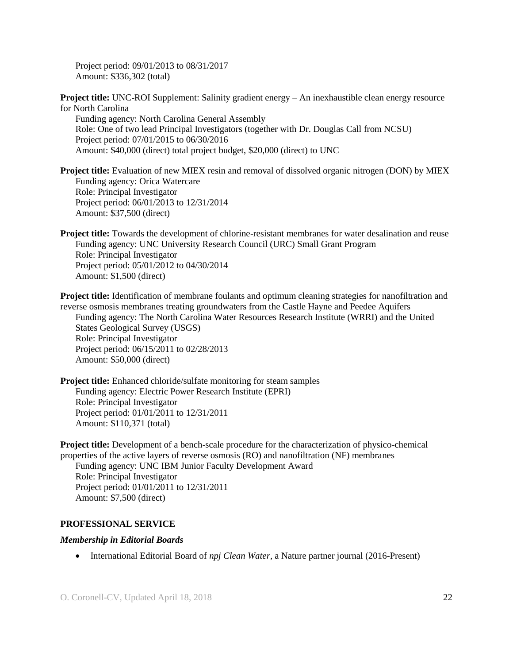Project period: 09/01/2013 to 08/31/2017 Amount: \$336,302 (total)

**Project title:** UNC-ROI Supplement: Salinity gradient energy – An inexhaustible clean energy resource for North Carolina

Funding agency: North Carolina General Assembly Role: One of two lead Principal Investigators (together with Dr. Douglas Call from NCSU) Project period: 07/01/2015 to 06/30/2016 Amount: \$40,000 (direct) total project budget, \$20,000 (direct) to UNC

**Project title:** Evaluation of new MIEX resin and removal of dissolved organic nitrogen (DON) by MIEX Funding agency: Orica Watercare Role: Principal Investigator Project period: 06/01/2013 to 12/31/2014 Amount: \$37,500 (direct)

**Project title:** Towards the development of chlorine-resistant membranes for water desalination and reuse Funding agency: UNC University Research Council (URC) Small Grant Program Role: Principal Investigator Project period: 05/01/2012 to 04/30/2014 Amount: \$1,500 (direct)

**Project title:** Identification of membrane foulants and optimum cleaning strategies for nanofiltration and reverse osmosis membranes treating groundwaters from the Castle Hayne and Peedee Aquifers Funding agency: The North Carolina Water Resources Research Institute (WRRI) and the United States Geological Survey (USGS) Role: Principal Investigator Project period: 06/15/2011 to 02/28/2013 Amount: \$50,000 (direct)

**Project title:** Enhanced chloride/sulfate monitoring for steam samples Funding agency: Electric Power Research Institute (EPRI) Role: Principal Investigator Project period: 01/01/2011 to 12/31/2011 Amount: \$110,371 (total)

**Project title:** Development of a bench-scale procedure for the characterization of physico-chemical properties of the active layers of reverse osmosis (RO) and nanofiltration (NF) membranes Funding agency: UNC IBM Junior Faculty Development Award Role: Principal Investigator

Project period: 01/01/2011 to 12/31/2011 Amount: \$7,500 (direct)

#### **PROFESSIONAL SERVICE**

#### *Membership in Editorial Boards*

International Editorial Board of *npj Clean Water*, a Nature partner journal (2016-Present)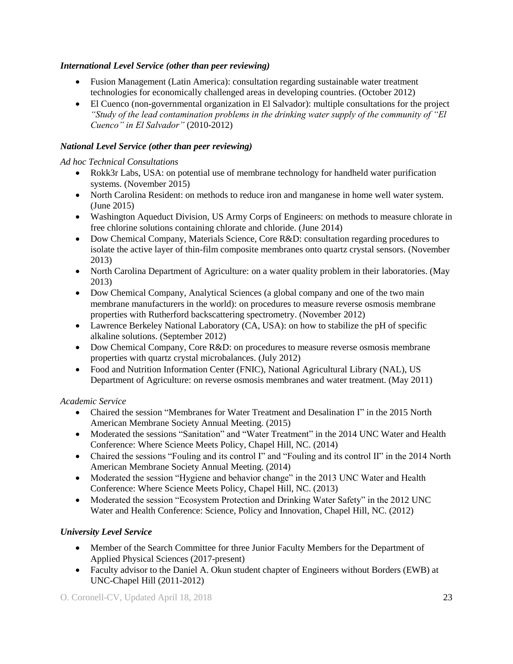# *International Level Service (other than peer reviewing)*

- Fusion Management (Latin America): consultation regarding sustainable water treatment technologies for economically challenged areas in developing countries. (October 2012)
- El Cuenco (non-governmental organization in El Salvador): multiple consultations for the project *"Study of the lead contamination problems in the drinking water supply of the community of "El Cuenco" in El Salvador"* (2010-2012)

# *National Level Service (other than peer reviewing)*

# *Ad hoc Technical Consultations*

- Rokk3r Labs, USA: on potential use of membrane technology for handheld water purification systems. (November 2015)
- North Carolina Resident: on methods to reduce iron and manganese in home well water system. (June 2015)
- Washington Aqueduct Division, US Army Corps of Engineers: on methods to measure chlorate in free chlorine solutions containing chlorate and chloride. (June 2014)
- Dow Chemical Company, Materials Science, Core R&D: consultation regarding procedures to isolate the active layer of thin-film composite membranes onto quartz crystal sensors. (November 2013)
- North Carolina Department of Agriculture: on a water quality problem in their laboratories. (May 2013)
- Dow Chemical Company, Analytical Sciences (a global company and one of the two main membrane manufacturers in the world): on procedures to measure reverse osmosis membrane properties with Rutherford backscattering spectrometry. (November 2012)
- Lawrence Berkeley National Laboratory (CA, USA): on how to stabilize the pH of specific alkaline solutions. (September 2012)
- Dow Chemical Company, Core R&D: on procedures to measure reverse osmosis membrane properties with quartz crystal microbalances. (July 2012)
- Food and Nutrition Information Center (FNIC), National Agricultural Library (NAL), US Department of Agriculture: on reverse osmosis membranes and water treatment. (May 2011)

# *Academic Service*

- Chaired the session "Membranes for Water Treatment and Desalination I" in the 2015 North American Membrane Society Annual Meeting. (2015)
- Moderated the sessions "Sanitation" and "Water Treatment" in the 2014 UNC Water and Health Conference: Where Science Meets Policy, Chapel Hill, NC. (2014)
- Chaired the sessions "Fouling and its control I" and "Fouling and its control II" in the 2014 North American Membrane Society Annual Meeting. (2014)
- Moderated the session "Hygiene and behavior change" in the 2013 UNC Water and Health Conference: Where Science Meets Policy, Chapel Hill, NC. (2013)
- Moderated the session "Ecosystem Protection and Drinking Water Safety" in the 2012 UNC Water and Health Conference: Science, Policy and Innovation, Chapel Hill, NC. (2012)

# *University Level Service*

- Member of the Search Committee for three Junior Faculty Members for the Department of Applied Physical Sciences (2017-present)
- Faculty advisor to the Daniel A. Okun student chapter of Engineers without Borders (EWB) at UNC-Chapel Hill (2011-2012)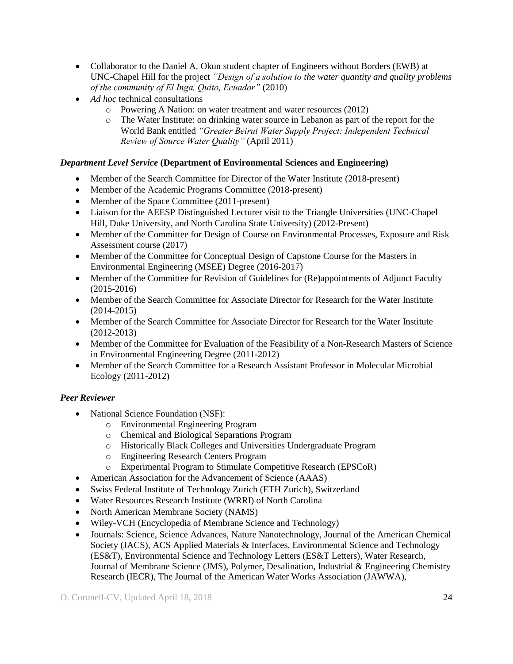- Collaborator to the Daniel A. Okun student chapter of Engineers without Borders (EWB) at UNC-Chapel Hill for the project *"Design of a solution to the water quantity and quality problems of the community of El Inga, Quito, Ecuador"* (2010)
- Ad hoc technical consultations
	- o Powering A Nation: on water treatment and water resources (2012)
	- o The Water Institute: on drinking water source in Lebanon as part of the report for the World Bank entitled *"Greater Beirut Water Supply Project: Independent Technical Review of Source Water Quality"* (April 2011)

## *Department Level Service* **(Department of Environmental Sciences and Engineering)**

- Member of the Search Committee for Director of the Water Institute (2018-present)
- Member of the Academic Programs Committee (2018-present)
- Member of the Space Committee (2011-present)
- Liaison for the AEESP Distinguished Lecturer visit to the Triangle Universities (UNC-Chapel Hill, Duke University, and North Carolina State University) (2012-Present)
- Member of the Committee for Design of Course on Environmental Processes, Exposure and Risk Assessment course (2017)
- Member of the Committee for Conceptual Design of Capstone Course for the Masters in Environmental Engineering (MSEE) Degree (2016-2017)
- Member of the Committee for Revision of Guidelines for (Re)appointments of Adjunct Faculty (2015-2016)
- Member of the Search Committee for Associate Director for Research for the Water Institute (2014-2015)
- Member of the Search Committee for Associate Director for Research for the Water Institute (2012-2013)
- Member of the Committee for Evaluation of the Feasibility of a Non-Research Masters of Science in Environmental Engineering Degree (2011-2012)
- Member of the Search Committee for a Research Assistant Professor in Molecular Microbial Ecology (2011-2012)

# *Peer Reviewer*

- National Science Foundation (NSF):
	- o Environmental Engineering Program
	- o Chemical and Biological Separations Program
	- o Historically Black Colleges and Universities Undergraduate Program
	- o Engineering Research Centers Program
	- o Experimental Program to Stimulate Competitive Research (EPSCoR)
- American Association for the Advancement of Science (AAAS)
- Swiss Federal Institute of Technology Zurich (ETH Zurich), Switzerland
- Water Resources Research Institute (WRRI) of North Carolina
- North American Membrane Society (NAMS)
- Wiley-VCH (Encyclopedia of Membrane Science and Technology)
- Journals: Science, Science Advances, Nature Nanotechnology, Journal of the American Chemical Society (JACS), ACS Applied Materials & Interfaces, Environmental Science and Technology (ES&T), Environmental Science and Technology Letters (ES&T Letters), Water Research, Journal of Membrane Science (JMS), Polymer, Desalination, Industrial & Engineering Chemistry Research (IECR), The Journal of the American Water Works Association (JAWWA),